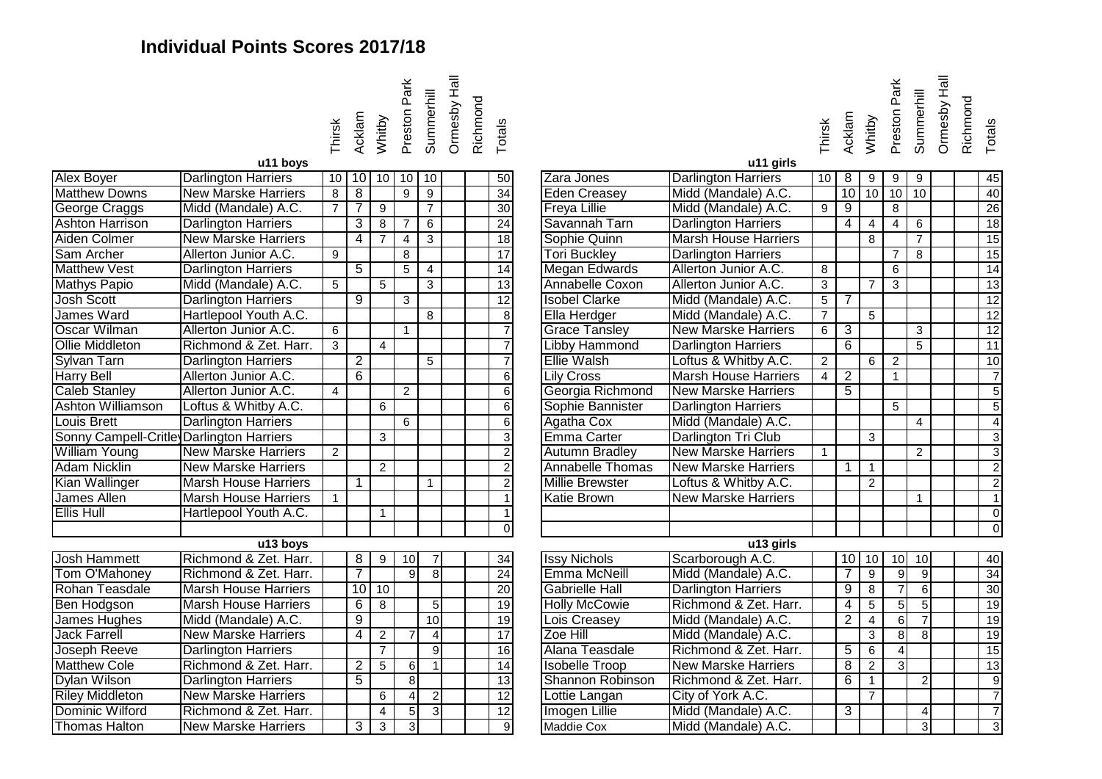## **Individual Points Scores 2017/18**



| Alex Boyer                               | Darlington Harriers         |                |                |                | 10   10   10   10   10 |                |  | 50              | Zara Jones              | Darlington Harriers         | 10 <sup>1</sup> | 8              | 9              | 9               | 9              |  | 45              |
|------------------------------------------|-----------------------------|----------------|----------------|----------------|------------------------|----------------|--|-----------------|-------------------------|-----------------------------|-----------------|----------------|----------------|-----------------|----------------|--|-----------------|
| <b>Matthew Downs</b>                     | <b>New Marske Harriers</b>  | 8              | 8              |                | 9                      | 9              |  | 34              | <b>Eden Creasey</b>     | Midd (Mandale) A.C.         |                 |                | $10$ 10 10     |                 | 10             |  | 40              |
| George Craggs                            | Midd (Mandale) A.C.         | $\overline{7}$ | $\overline{7}$ | 9              |                        | $\overline{7}$ |  | 30              | <b>Freya Lillie</b>     | Midd (Mandale) A.C.         | 9               | $\overline{9}$ |                | 8               |                |  | 26              |
| <b>Ashton Harrison</b>                   | <b>Darlington Harriers</b>  |                | 3              | $\,8\,$        | $\overline{7}$         | 6              |  | 24              | Savannah Tarn           | <b>Darlington Harriers</b>  |                 | 4              | 4              | 4               | 6              |  | 18              |
| Aiden Colmer                             | <b>New Marske Harriers</b>  |                | 4              | $\overline{7}$ | $\overline{4}$         | $\mathbf{3}$   |  | 18              | Sophie Quinn            | <b>Marsh House Harriers</b> |                 |                | 8              |                 | $\overline{7}$ |  | 15              |
| Sam Archer                               | Allerton Junior A.C.        | 9              |                |                | 8                      |                |  | $\overline{17}$ | <b>Tori Buckley</b>     | <b>Darlington Harriers</b>  |                 |                |                | $\overline{7}$  | 8              |  | 15              |
| <b>Matthew Vest</b>                      | <b>Darlington Harriers</b>  |                | $\overline{5}$ |                | $\overline{5}$         | $\overline{4}$ |  | 14              | <b>Megan Edwards</b>    | Allerton Junior A.C.        | 8               |                |                | 6               |                |  | 14              |
| <b>Mathys Papio</b>                      | Midd (Mandale) A.C.         | 5              |                | 5              |                        | $\overline{3}$ |  | 13              | Annabelle Coxon         | Allerton Junior A.C.        | $\overline{3}$  |                | $\overline{7}$ | 3               |                |  | 13              |
| <b>Josh Scott</b>                        | <b>Darlington Harriers</b>  |                | $\overline{9}$ |                | 3                      |                |  | $\overline{12}$ | <b>Isobel Clarke</b>    | Midd (Mandale) A.C.         | $5\overline{)}$ | 7              |                |                 |                |  | 12              |
| James Ward                               | Hartlepool Youth A.C.       |                |                |                |                        | $\overline{8}$ |  | 8               | Ella Herdger            | Midd (Mandale) A.C.         | $\overline{7}$  |                | 5              |                 |                |  | 12              |
| <b>Oscar Wilman</b>                      | Allerton Junior A.C.        | 6              |                |                | $\mathbf{1}$           |                |  |                 | <b>Grace Tansley</b>    | <b>New Marske Harriers</b>  | 6               | 3              |                |                 | 3              |  | 12              |
| <b>Ollie Middleton</b>                   | Richmond & Zet. Harr.       | 3              |                | $\overline{4}$ |                        |                |  |                 | <b>Libby Hammond</b>    | <b>Darlington Harriers</b>  |                 | 6              |                |                 | 5              |  | 11              |
| <b>Sylvan Tarn</b>                       | <b>Darlington Harriers</b>  |                | $\overline{2}$ |                |                        | 5              |  |                 | <b>Ellie Walsh</b>      | Loftus & Whitby A.C.        | $\overline{2}$  |                | 6              | $\overline{2}$  |                |  | 10              |
| <b>Harry Bell</b>                        | Allerton Junior A.C.        |                | 6              |                |                        |                |  | 6               | <b>Lily Cross</b>       | <b>Marsh House Harriers</b> | $\overline{4}$  | $\overline{2}$ |                | $\mathbf{1}$    |                |  |                 |
| <b>Caleb Stanley</b>                     | Allerton Junior A.C.        | $\overline{4}$ |                |                | $\overline{2}$         |                |  | 6               | Georgia Richmond        | <b>New Marske Harriers</b>  |                 | $\overline{5}$ |                |                 |                |  | 5               |
| <b>Ashton Williamson</b>                 | Loftus & Whitby A.C.        |                |                | 6              |                        |                |  | 6               | Sophie Bannister        | <b>Darlington Harriers</b>  |                 |                |                | 5               |                |  | 5               |
| <b>Louis Brett</b>                       | <b>Darlington Harriers</b>  |                |                |                | 6                      |                |  | 6               | Agatha Cox              | Midd (Mandale) A.C.         |                 |                |                |                 | $\overline{4}$ |  | Δ               |
| Sonny Campell-Critle Darlington Harriers |                             |                |                | 3              |                        |                |  | 3               | <b>Emma Carter</b>      | Darlington Tri Club         |                 |                | 3              |                 |                |  | 3               |
| <b>William Young</b>                     | <b>New Marske Harriers</b>  | $\overline{2}$ |                |                |                        |                |  | $\overline{2}$  | <b>Autumn Bradley</b>   | <b>New Marske Harriers</b>  |                 |                |                |                 | 2              |  | 3               |
| <b>Adam Nicklin</b>                      | <b>New Marske Harriers</b>  |                |                | $\overline{2}$ |                        |                |  |                 | <b>Annabelle Thomas</b> | <b>New Marske Harriers</b>  |                 | $\mathbf{1}$   | $\overline{1}$ |                 |                |  | 2               |
| Kian Wallinger                           | <b>Marsh House Harriers</b> |                | $\mathbf{1}$   |                |                        |                |  |                 | <b>Millie Brewster</b>  | Loftus & Whitby A.C.        |                 |                | $\overline{2}$ |                 |                |  | 2               |
| James Allen                              | <b>Marsh House Harriers</b> |                |                |                |                        |                |  |                 | <b>Katie Brown</b>      | <b>New Marske Harriers</b>  |                 |                |                |                 |                |  |                 |
| <b>Ellis Hull</b>                        | Hartlepool Youth A.C.       |                |                |                |                        |                |  |                 |                         |                             |                 |                |                |                 |                |  | $\Omega$        |
|                                          |                             |                |                |                |                        |                |  | $\Omega$        |                         |                             |                 |                |                |                 |                |  |                 |
|                                          | $\overline{u}$ 13 boys      |                |                |                |                        |                |  |                 |                         | u13 girls                   |                 |                |                |                 |                |  |                 |
| <b>Josh Hammett</b>                      | Richmond & Zet. Harr.       |                | 8              | 9              | 10                     |                |  | 34              | <b>Issy Nichols</b>     | Scarborough A.C.            |                 |                | $10$ 10        | 10 <sup>1</sup> | 10             |  | 40              |
| <b>Tom O'Mahoney</b>                     | Richmond & Zet. Harr.       |                | $\overline{7}$ |                | $\mathbf{Q}$           | $\overline{8}$ |  | $\overline{24}$ | Emma McNeill            | Midd (Mandale) A.C.         |                 | $\overline{7}$ | 9              | 9               | $\mathbf{g}$   |  | $\overline{34}$ |
| Rohan Teasdale                           | <b>Marsh House Harriers</b> |                | 10             | 10             |                        |                |  | $\overline{20}$ | <b>Gabrielle Hall</b>   | <b>Darlington Harriers</b>  |                 | 9              | 8              | $\overline{7}$  | $6 \mid$       |  | 30              |
| <b>Ben Hodgson</b>                       | <b>Marsh House Harriers</b> |                | 6              | 8              |                        | 5 <sub>l</sub> |  | 19              | <b>Holly McCowie</b>    | Richmond & Zet. Harr.       |                 | 4              | 5              | 5               | 5 <sup>1</sup> |  | 19              |
| James Hughes                             | Midd (Mandale) A.C.         |                | 9              |                |                        | 10             |  | 19              | Lois Creasey            | Midd (Mandale) A.C.         |                 | $\overline{2}$ | 4              | 6               |                |  | 19              |
| <b>Jack Farrell</b>                      | <b>New Marske Harriers</b>  |                | 4              | $\overline{2}$ | $\overline{7}$         | $\vert$        |  | $\overline{17}$ | Zoe Hill                | Midd (Mandale) A.C.         |                 |                | 3              | $\overline{8}$  | 8 <sup>1</sup> |  | 19              |
| Joseph Reeve                             | <b>Darlington Harriers</b>  |                |                | $\overline{7}$ |                        | 9 <sub>l</sub> |  | 16              | Alana Teasdale          | Richmond & Zet. Harr.       |                 | 5              | 6              | 4               |                |  | 15              |
| <b>Matthew Cole</b>                      | Richmond & Zet. Harr.       |                | $\overline{2}$ | $\overline{5}$ | 6                      |                |  | 14              | <b>Isobelle Troop</b>   | <b>New Marske Harriers</b>  |                 | 8              | $\overline{2}$ | 3               |                |  | 13              |
| Dylan Wilson                             | <b>Darlington Harriers</b>  |                | $\overline{5}$ |                | 8                      |                |  | 13              | Shannon Robinson        | Richmond & Zet. Harr.       |                 | 6              |                |                 | 2              |  | -9              |
| <b>Riley Middleton</b>                   | <b>New Marske Harriers</b>  |                |                | 6              | 4                      | $\overline{2}$ |  | $\overline{12}$ | Lottie Langan           | City of York A.C.           |                 |                | $\overline{7}$ |                 |                |  | $\overline{7}$  |
| Dominic Wilford                          | Richmond & Zet. Harr.       |                |                | $\overline{4}$ | $\overline{5}$         | $\overline{3}$ |  | $\overline{12}$ | Imogen Lillie           | Midd (Mandale) A.C.         |                 | 3              |                |                 |                |  | $\overline{7}$  |
| <b>Thomas Halton</b>                     | <b>New Marske Harriers</b>  |                | 3              | 3              | 3                      |                |  | 9               | <b>Maddie Cox</b>       | Midd (Mandale) A.C.         |                 |                |                |                 | $\overline{3}$ |  | 3               |
|                                          |                             |                |                |                |                        |                |  |                 |                         |                             |                 |                |                |                 |                |  |                 |

|                                          | u11 boys                    | Thirsk         | Acklam              | Whitby<br>Prestor<br>Summe<br>Ormest<br>Richmo<br>Totals |                |                 |  |                 |                         | u11 girls                   | Thirsk          |                | Acklam<br>Whitby<br>Prestor<br>Summe |                |                | Ormest | Richmo<br>Totals |                 |
|------------------------------------------|-----------------------------|----------------|---------------------|----------------------------------------------------------|----------------|-----------------|--|-----------------|-------------------------|-----------------------------|-----------------|----------------|--------------------------------------|----------------|----------------|--------|------------------|-----------------|
| Alex Boyer                               | <b>Darlington Harriers</b>  |                | $10$ 10 10          |                                                          | -10            | 10              |  | 50              | Zara Jones              | <b>Darlington Harriers</b>  | 10 <sup>1</sup> | 8              | 9                                    | 9              | 9              |        |                  | 45              |
| <b>Matthew Downs</b>                     | <b>New Marske Harriers</b>  | 8              | 8                   |                                                          | 9              | 9               |  | 34              | Eden Creasey            | Midd (Mandale) A.C.         |                 | 10             | 10                                   | 10             | 10             |        |                  | 40              |
| George Craggs                            | Midd (Mandale) A.C.         | $\overline{7}$ | $\overline{7}$      | 9                                                        |                | $\overline{7}$  |  | $\overline{30}$ | <b>Freya Lillie</b>     | Midd (Mandale) A.C.         | 9               | -9             |                                      | 8              |                |        |                  | $\overline{26}$ |
| <b>Ashton Harrison</b>                   | <b>Darlington Harriers</b>  |                | 3                   | 8                                                        | 7              | 6               |  | $\overline{24}$ | Savannah Tarn           | <b>Darlington Harriers</b>  |                 | 4              | $\overline{4}$                       | $\overline{4}$ | 6              |        |                  | 18              |
| <b>Aiden Colmer</b>                      | <b>New Marske Harriers</b>  |                | 4                   | $\overline{7}$                                           | $\overline{4}$ | 3               |  | $\overline{18}$ | Sophie Quinn            | <b>Marsh House Harriers</b> |                 |                | 8                                    |                | $\overline{7}$ |        |                  | 15              |
| Sam Archer                               | Allerton Junior A.C.        | 9              |                     |                                                          | 8              |                 |  | $\overline{17}$ | <b>Tori Buckley</b>     | <b>Darlington Harriers</b>  |                 |                |                                      | $\overline{7}$ | 8              |        |                  | 15              |
| <b>Matthew Vest</b>                      | <b>Darlington Harriers</b>  |                | $\overline{5}$      |                                                          | $\overline{5}$ | $\overline{4}$  |  | 14              | Megan Edwards           | Allerton Junior A.C.        | 8               |                |                                      | $\overline{6}$ |                |        |                  | 14              |
| <b>Mathys Papio</b>                      | Midd (Mandale) A.C.         | 5              |                     | 5                                                        |                | 3               |  | 13              | Annabelle Coxon         | Allerton Junior A.C.        | 3               |                | $\overline{7}$                       | 3              |                |        |                  | 13              |
| <b>Josh Scott</b>                        | <b>Darlington Harriers</b>  |                | $\overline{9}$      |                                                          | $\overline{3}$ |                 |  | 12              | <b>Isobel Clarke</b>    | Midd (Mandale) A.C.         | $\overline{5}$  | 7              |                                      |                |                |        |                  | 12              |
| <b>James Ward</b>                        | Hartlepool Youth A.C.       |                |                     |                                                          |                | 8               |  | 8               | Ella Herdger            | Midd (Mandale) A.C.         | $\overline{7}$  |                | $5\phantom{.0}$                      |                |                |        |                  | 12              |
| Oscar Wilman                             | Allerton Junior A.C.        | 6              |                     |                                                          | $\mathbf{1}$   |                 |  |                 | <b>Grace Tansley</b>    | <b>New Marske Harriers</b>  | 6               | $\overline{3}$ |                                      |                | 3              |        |                  | 12              |
| <b>Ollie Middleton</b>                   | Richmond & Zet. Harr.       | $\overline{3}$ |                     | $\boldsymbol{\Lambda}$                                   |                |                 |  |                 | Libby Hammond           | <b>Darlington Harriers</b>  |                 | 6              |                                      |                | 5              |        |                  | 11              |
| Sylvan Tarn                              | <b>Darlington Harriers</b>  |                | $\overline{2}$      |                                                          |                | 5               |  |                 | <b>Ellie Walsh</b>      | Loftus & Whitby A.C.        | $\overline{2}$  |                | 6                                    | $\overline{2}$ |                |        |                  | 10              |
| Harry Bell                               | Allerton Junior A.C.        |                | 6                   |                                                          |                |                 |  | 6               | <b>Lily Cross</b>       | <b>Marsh House Harriers</b> | $\overline{4}$  | $\overline{2}$ |                                      | $\mathbf{1}$   |                |        |                  | $\overline{7}$  |
| <b>Caleb Stanley</b>                     | Allerton Junior A.C.        | $\overline{4}$ |                     |                                                          | $\overline{2}$ |                 |  | 6               | Georgia Richmond        | <b>New Marske Harriers</b>  |                 | $\overline{5}$ |                                      |                |                |        |                  | 5               |
| <b>Ashton Williamson</b>                 | Loftus & Whitby A.C.        |                |                     | 6                                                        |                |                 |  | 6               | Sophie Bannister        | <b>Darlington Harriers</b>  |                 |                |                                      | 5              |                |        |                  | $\overline{5}$  |
| Louis Brett                              | <b>Darlington Harriers</b>  |                |                     |                                                          | 6              |                 |  | 6               | Agatha Cox              | Midd (Mandale) A.C.         |                 |                |                                      |                | 4              |        |                  | $\overline{4}$  |
| Sonny Campell-Critle Darlington Harriers |                             |                |                     | 3                                                        |                |                 |  | 3               | Emma Carter             | Darlington Tri Club         |                 |                | $\mathbf{3}$                         |                |                |        |                  | دى              |
| <b>William Young</b>                     | <b>New Marske Harriers</b>  | $\overline{2}$ |                     |                                                          |                |                 |  |                 | <b>Autumn Bradley</b>   | <b>New Marske Harriers</b>  | 1               |                |                                      |                | $\overline{2}$ |        |                  | $\overline{3}$  |
| Adam Nicklin                             | <b>New Marske Harriers</b>  |                |                     | $\overline{2}$                                           |                |                 |  | $\overline{2}$  | <b>Annabelle Thomas</b> | <b>New Marske Harriers</b>  |                 | 1              | $\overline{1}$                       |                |                |        |                  | $\overline{2}$  |
| Kian Wallinger                           | <b>Marsh House Harriers</b> |                | $\mathbf{1}$        |                                                          |                | $\overline{1}$  |  | $\overline{c}$  | <b>Millie Brewster</b>  | Loftus & Whitby A.C.        |                 |                | 2                                    |                |                |        |                  | $\overline{2}$  |
| James Allen                              | <b>Marsh House Harriers</b> | $\overline{1}$ |                     |                                                          |                |                 |  |                 | <b>Katie Brown</b>      | <b>New Marske Harriers</b>  |                 |                |                                      |                | $\mathbf{1}$   |        |                  | $\overline{1}$  |
| <b>Ellis Hull</b>                        | Hartlepool Youth A.C.       |                |                     | $\overline{1}$                                           |                |                 |  |                 |                         |                             |                 |                |                                      |                |                |        |                  | $\overline{0}$  |
|                                          |                             |                |                     |                                                          |                |                 |  | $\Omega$        |                         |                             |                 |                |                                      |                |                |        |                  | $\overline{0}$  |
|                                          | u13 boys                    |                |                     |                                                          |                |                 |  |                 |                         | u13 girls                   |                 |                |                                      |                |                |        |                  |                 |
| <b>Josh Hammett</b>                      | Richmond & Zet. Harr.       |                | $\overline{\infty}$ | 9                                                        | 10             |                 |  | $\overline{34}$ | <b>Issy Nichols</b>     | Scarborough A.C.            |                 |                | 10 10                                | 10             | 10             |        |                  | 40              |
| <b>Tom O'Mahoney</b>                     | Richmond & Zet. Harr.       |                | 7                   |                                                          | 9              | 8 <sup>1</sup>  |  | $\overline{24}$ | Emma McNeill            | Midd (Mandale) A.C.         |                 | 7              | 9                                    | 9              | 9              |        |                  | 34              |
| Rohan Teasdale                           | <b>Marsh House Harriers</b> |                |                     | $10$ 10                                                  |                |                 |  | 20              | <b>Gabrielle Hall</b>   | <b>Darlington Harriers</b>  |                 | 9              | 8                                    | $\overline{7}$ | 6              |        |                  | 30              |
| Ben Hodgson                              | <b>Marsh House Harriers</b> |                | 6                   | 8                                                        |                | 5 <sub>l</sub>  |  | $\overline{19}$ | <b>Holly McCowie</b>    | Richmond & Zet. Harr.       |                 | 4              | $5\phantom{.0}$                      | 5              | 5              |        |                  | 19              |
| James Hughes                             | Midd (Mandale) A.C.         |                | $\overline{9}$      |                                                          |                | 10 <sup>1</sup> |  | 19              | Lois Creasey            | Midd (Mandale) A.C.         |                 | $\overline{2}$ | $\overline{4}$                       | 6              |                |        |                  | 19              |
| <b>Jack Farrell</b>                      | <b>New Marske Harriers</b>  |                | 4                   | $\overline{2}$                                           | $\overline{7}$ | $\vert$         |  | $\overline{17}$ | Zoe Hill                | Midd (Mandale) A.C.         |                 |                | $\mathbf{3}$                         | 8              | 8              |        |                  | 19              |
| Insenh Reeve                             | Darlington Harriers         |                |                     | $\overline{7}$                                           |                | αI              |  | 16              | Alana Teasdale          | Richmond & Zet Harr         |                 | $\overline{F}$ | $\epsilon$                           |                |                |        |                  | 15              |

Thirsk Acklam Whitby Preston Park

Ormesby Hall Ormesby Hall Summerhill Richmond Summerhill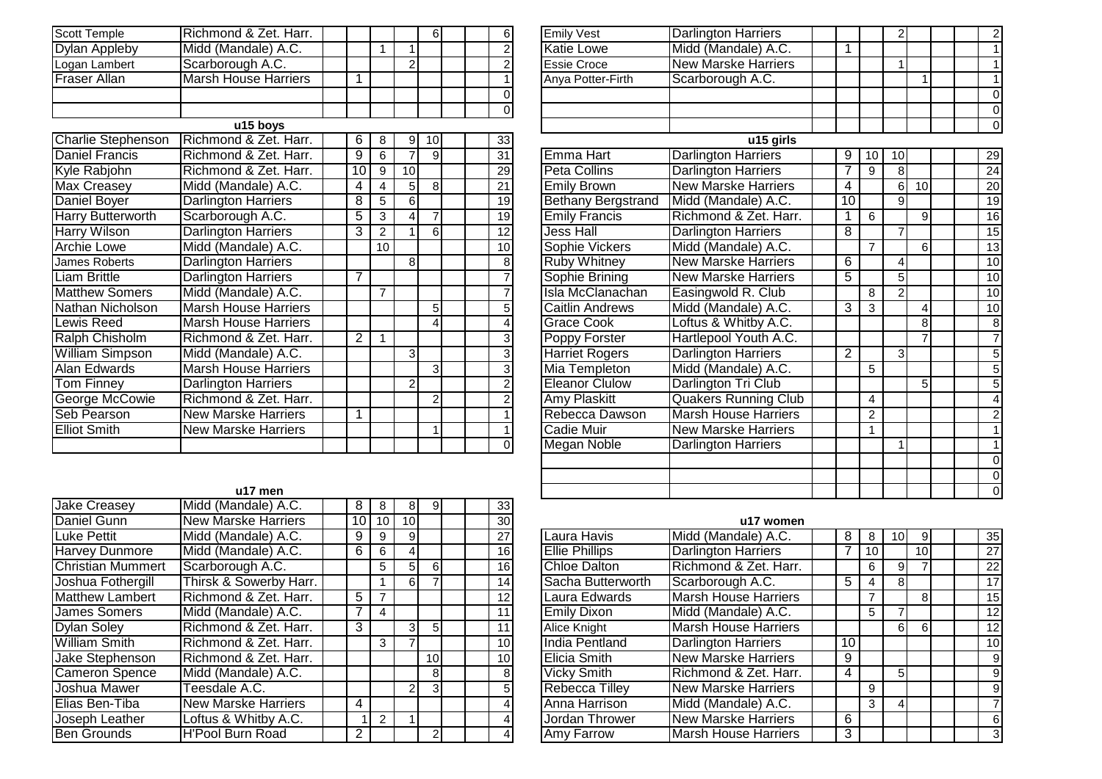| Scott Temple         | Richmond & Zet. Harr.       |  |  |  | 6           |
|----------------------|-----------------------------|--|--|--|-------------|
| <b>Dylan Appleby</b> | Midd (Mandale) A.C.         |  |  |  | 2           |
| Logan Lambert        | Scarborough A.C.            |  |  |  | 2           |
| Fraser Allan         | <b>Marsh House Harriers</b> |  |  |  |             |
|                      |                             |  |  |  | $\Omega$    |
|                      |                             |  |  |  | $\mathbf 0$ |

|                           | u15 boys                    |    |    |                 |                |  |    |                           |                            |
|---------------------------|-----------------------------|----|----|-----------------|----------------|--|----|---------------------------|----------------------------|
| <b>Charlie Stephenson</b> | Richmond & Zet. Harr.       | 6  | 8  | 9               | 10I            |  | 33 |                           | u15 girl                   |
| <b>Daniel Francis</b>     | Richmond & Zet. Harr.       | 9  | 6  | $\overline{7}$  | 9              |  | 31 | Emma Hart                 | <b>Darlington Harriers</b> |
| Kyle Rabjohn              | Richmond & Zet. Harr.       | 10 | 9  | 10 <sup>1</sup> |                |  | 29 | Peta Collins              | <b>Darlington Harriers</b> |
| <b>Max Creasey</b>        | Midd (Mandale) A.C.         | 4  | 4  | 5 <sub>l</sub>  | 8 <sup>1</sup> |  | 21 | <b>Emily Brown</b>        | <b>New Marske Harriers</b> |
| Daniel Boyer              | <b>Darlington Harriers</b>  | 8  | 5  | $6 \mid$        |                |  | 19 | <b>Bethany Bergstrand</b> | Midd (Mandale) A.C.        |
| Harry Butterworth         | Scarborough A.C.            | 5  | 3  | 4I              |                |  | 19 | <b>Emily Francis</b>      | Richmond & Zet. Ha         |
| <b>Harry Wilson</b>       | <b>Darlington Harriers</b>  | 3  | 2  |                 | 6              |  | 12 | Jess Hall                 | <b>Darlington Harriers</b> |
| Archie Lowe               | Midd (Mandale) A.C.         |    | 10 |                 |                |  | 10 | Sophie Vickers            | Midd (Mandale) A.C.        |
| James Roberts             | <b>Darlington Harriers</b>  |    |    | 8 <sup>1</sup>  |                |  | 8  | <b>Ruby Whitney</b>       | <b>New Marske Harriers</b> |
| Liam Brittle              | <b>Darlington Harriers</b>  |    |    |                 |                |  |    | Sophie Brining            | <b>New Marske Harriers</b> |
| <b>Matthew Somers</b>     | Midd (Mandale) A.C.         |    | 7  |                 |                |  |    | Isla McClanachan          | Easingwold R. Club         |
| Nathan Nicholson          | <b>Marsh House Harriers</b> |    |    |                 | 5 <sub>l</sub> |  | 5  | Caitlin Andrews           | Midd (Mandale) A.C.        |
| <b>Lewis Reed</b>         | <b>Marsh House Harriers</b> |    |    |                 |                |  |    | Grace Cook                | Loftus & Whitby A.C.       |
| Ralph Chisholm            | Richmond & Zet. Harr.       | 2  |    |                 |                |  | 3  | Poppy Forster             | Hartlepool Youth A.C       |
| <b>William Simpson</b>    | Midd (Mandale) A.C.         |    |    | 3 <sub>l</sub>  |                |  | 3  | Harriet Rogers            | <b>Darlington Harriers</b> |
| Alan Edwards              | <b>Marsh House Harriers</b> |    |    |                 | 31             |  | 3  | Mia Templeton             | Midd (Mandale) A.C.        |
| Tom Finney                | <b>Darlington Harriers</b>  |    |    | $\mathbf{2}$    |                |  |    | <b>Eleanor Clulow</b>     | Darlington Tri Club        |
| George McCowie            | Richmond & Zet. Harr.       |    |    |                 | 2              |  |    | Amy Plaskitt              | <b>Quakers Running Cl</b>  |
| Seb Pearson               | <b>New Marske Harriers</b>  |    |    |                 |                |  |    | Rebecca Dawson            | <b>Marsh House Harrier</b> |
| <b>Elliot Smith</b>       | <b>New Marske Harriers</b>  |    |    |                 |                |  |    | Cadie Muir                | New Marske Harriers        |
|                           |                             |    |    |                 |                |  |    | Megan Noble               | <b>Darlington Harriers</b> |

|                 |                         | $6 \mid$                | $6 \mid$        | Emily Vest                | Darlington Harriers         |                 |                | 2              |    |  | 2               |
|-----------------|-------------------------|-------------------------|-----------------|---------------------------|-----------------------------|-----------------|----------------|----------------|----|--|-----------------|
| 1               | 1                       |                         |                 | <b>Katie Lowe</b>         | Midd (Mandale) A.C.         | 1               |                |                |    |  |                 |
|                 | $\overline{2}$          |                         | $\overline{2}$  | <b>Essie Croce</b>        | <b>New Marske Harriers</b>  |                 |                | 1              |    |  |                 |
|                 |                         |                         | 1               | Anya Potter-Firth         | Scarborough A.C.            |                 |                |                | 1  |  |                 |
|                 |                         |                         | 0               |                           |                             |                 |                |                |    |  | $\mathbf 0$     |
|                 |                         |                         | $\Omega$        |                           |                             |                 |                |                |    |  | $\mathbf 0$     |
|                 |                         |                         |                 |                           |                             |                 |                |                |    |  | $\mathbf 0$     |
| 8               | 9                       | 10                      | 33              |                           | u15 girls                   |                 |                |                |    |  |                 |
| 6               | $\overline{7}$          | $\overline{9}$          | $\overline{31}$ | Emma Hart                 | <b>Darlington Harriers</b>  | 9               | 10             | 10             |    |  | 29              |
| $\frac{9}{4}$   | 10                      |                         | $\overline{29}$ | Peta Collins              | <b>Darlington Harriers</b>  | 7               | 9              | 8              |    |  | 24              |
|                 | $\overline{5}$          | $\infty$                | $\overline{21}$ | <b>Emily Brown</b>        | <b>New Marske Harriers</b>  | 4               |                | $\overline{6}$ | 10 |  | 20              |
| $rac{5}{3}$     | 6                       |                         | 19              | <b>Bethany Bergstrand</b> | Midd (Mandale) A.C.         | $\overline{10}$ |                | 9              |    |  | 19              |
|                 | 4                       | $\overline{7}$          | 19              | <b>Emily Francis</b>      | Richmond & Zet. Harr.       | 1               | 6              |                | 9  |  | 16              |
| $\frac{1}{2}$   |                         | 6                       | 12              | Jess Hall                 | <b>Darlington Harriers</b>  | $\overline{8}$  |                | 7              |    |  | 15              |
| $\overline{10}$ |                         |                         | 10              | Sophie Vickers            | Midd (Mandale) A.C.         |                 | $\overline{7}$ |                | 6  |  | 13              |
|                 | 8                       |                         | 8               | <b>Ruby Whitney</b>       | <b>New Marske Harriers</b>  | $\overline{6}$  |                | 4              |    |  | $\overline{10}$ |
|                 |                         |                         | $\overline{7}$  | Sophie Brining            | <b>New Marske Harriers</b>  | $\overline{5}$  |                | $\overline{5}$ |    |  | 10              |
|                 |                         |                         | 7               | Isla McClanachan          | Easingwold R. Club          |                 | 8              | $\overline{2}$ |    |  | 10              |
|                 |                         | 5                       | 5               | Caitlin Andrews           | Midd (Mandale) A.C.         | 3               | 3              |                | 4  |  | 10              |
|                 |                         | 4                       | 4               | <b>Grace Cook</b>         | Loftus & Whitby A.C.        |                 |                |                | 8  |  | 8               |
| 1               |                         |                         | $\overline{3}$  | Poppy Forster             | Hartlepool Youth A.C.       |                 |                |                | 7  |  | $\overline{7}$  |
|                 | 3                       |                         | $\overline{3}$  | <b>Harriet Rogers</b>     | <b>Darlington Harriers</b>  | $\overline{2}$  |                | 3              |    |  | 5               |
|                 |                         | $\overline{3}$          | $\overline{3}$  | Mia Templeton             | Midd (Mandale) A.C.         |                 | 5              |                |    |  | 5               |
|                 | $\overline{2}$          |                         | $\overline{2}$  | <b>Eleanor Clulow</b>     | Darlington Tri Club         |                 |                |                | 5  |  | $\overline{5}$  |
|                 |                         | $\overline{\mathbf{c}}$ | $\overline{2}$  | <b>Amy Plaskitt</b>       | Quakers Running Club        |                 | 4              |                |    |  | 4               |
|                 |                         |                         | 1               | Rebecca Dawson            | <b>Marsh House Harriers</b> |                 | $\overline{c}$ |                |    |  | $\overline{c}$  |
|                 |                         | 1                       | 1               | Cadie Muir                | <b>New Marske Harriers</b>  |                 |                |                |    |  |                 |
|                 |                         |                         | $\overline{0}$  | <b>Megan Noble</b>        | Darlington Harriers         |                 |                |                |    |  |                 |
|                 |                         |                         |                 |                           |                             |                 |                |                |    |  | $\mathbf 0$     |
|                 |                         |                         |                 |                           |                             |                 |                |                |    |  | $\mathbf 0$     |
|                 |                         |                         |                 |                           |                             |                 |                |                |    |  | $\Omega$        |
| o<br>I          | $\overline{\mathbf{c}}$ | ΩL                      | 22              |                           |                             |                 |                |                |    |  |                 |

|                          | u17 men                    |                |    |                 |                 |  |                 |                       |                            |
|--------------------------|----------------------------|----------------|----|-----------------|-----------------|--|-----------------|-----------------------|----------------------------|
| <b>Jake Creasey</b>      | Midd (Mandale) A.C.        | 8              | 8  | 8               | 91              |  | 33              |                       |                            |
| Daniel Gunn              | <b>New Marske Harriers</b> | 10             | 10 | 10 <sup>1</sup> |                 |  | 30              |                       | u17 wome                   |
| Luke Pettit              | Midd (Mandale) A.C.        | 9              | 9  | 9               |                 |  | 27              | Laura Havis           | Midd (Mandale) A.C.        |
| <b>Harvey Dunmore</b>    | Midd (Mandale) A.C.        | 6              | 6  | 41              |                 |  | 16              | <b>Ellie Phillips</b> | <b>Darlington Harriers</b> |
| <b>Christian Mummert</b> | Scarborough A.C.           |                | 5  | 51              | <sup>6</sup>    |  | 16 <sup>1</sup> | Chloe Dalton          | Richmond & Zet. Har        |
| Joshua Fothergill        | Thirsk & Sowerby Harr.     |                |    | 6               |                 |  | 14              | Sacha Butterworth     | Scarborough A.C.           |
| <b>Matthew Lambert</b>   | Richmond & Zet. Harr.      | 5              |    |                 |                 |  | 12              | Laura Edwards         | <b>Marsh House Harrier</b> |
| <b>James Somers</b>      | Midd (Mandale) A.C.        |                | 4  |                 |                 |  | 11              | <b>Emily Dixon</b>    | Midd (Mandale) A.C.        |
| <b>Dylan Soley</b>       | Richmond & Zet. Harr.      | 3              |    | 31              | 5 <sub>l</sub>  |  | 11              | Alice Knight          | <b>Marsh House Harrier</b> |
| <b>William Smith</b>     | Richmond & Zet. Harr.      |                | 3  |                 |                 |  | 10 <sup>1</sup> | India Pentland        | <b>Darlington Harriers</b> |
| Jake Stephenson          | Richmond & Zet. Harr.      |                |    |                 | 10 <sup>1</sup> |  | 10 <sup>1</sup> | <b>Elicia Smith</b>   | <b>New Marske Harriers</b> |
| <b>Cameron Spence</b>    | Midd (Mandale) A.C.        |                |    |                 | 81              |  | 81              | <b>Vicky Smith</b>    | Richmond & Zet. Har        |
| Joshua Mawer             | Teesdale A.C.              |                |    | $\mathbf{2}$    | 3 <sup>l</sup>  |  | 51              | Rebecca Tilley        | <b>New Marske Harriers</b> |
| Elias Ben-Tiba           | <b>New Marske Harriers</b> | 4              |    |                 |                 |  |                 | Anna Harrison         | Midd (Mandale) A.C.        |
| Joseph Leather           | Loftus & Whitby A.C.       |                | 2  |                 |                 |  |                 | Jordan Thrower        | <b>New Marske Harriers</b> |
| <b>Ben Grounds</b>       | <b>H'Pool Burn Road</b>    | $\overline{2}$ |    |                 | $\overline{2}$  |  |                 | <b>Amy Farrow</b>     | <b>Marsh House Harrier</b> |

| $\overline{0}$ | 10 <sup>1</sup> |                | <b>30</b>       |                       | u17 women                   |    |    |    |                 |  |                 |
|----------------|-----------------|----------------|-----------------|-----------------------|-----------------------------|----|----|----|-----------------|--|-----------------|
| 9              | 9               |                | 27 <sub>1</sub> | Laura Havis           | Midd (Mandale) A.C.         | 8  | 8  | 10 | 9               |  | 35              |
| 6              |                 |                | 16              | <b>Ellie Phillips</b> | <b>Darlington Harriers</b>  |    | 10 |    | 10 <sup>1</sup> |  | 27              |
| $\overline{5}$ | 5               | 6              | 16              | <b>Chloe Dalton</b>   | Richmond & Zet. Harr.       |    | 6  | 9  |                 |  | $\overline{22}$ |
|                | 61              |                | 14              | Sacha Butterworth     | Scarborough A.C.            | 5  | 4  | 8  |                 |  | 17              |
| $\overline{7}$ |                 |                | 12              | Laura Edwards         | <b>Marsh House Harriers</b> |    | 7  |    | 8               |  | 15              |
| 4              |                 |                | 11              | <b>Emily Dixon</b>    | Midd (Mandale) A.C.         |    | 5  |    |                 |  | 12              |
|                |                 | 5 <sup>1</sup> | 11              | <b>Alice Knight</b>   | <b>Marsh House Harriers</b> |    |    | 61 | $6 \mid$        |  | 12              |
| 3              |                 |                | 10 <sup>1</sup> | India Pentland        | <b>Darlington Harriers</b>  | 10 |    |    |                 |  | 10              |
|                |                 | 10             | 10 <sup>1</sup> | Elicia Smith          | <b>New Marske Harriers</b>  | 9  |    |    |                 |  | $9\,$           |
|                |                 | 8 <sup>1</sup> | 8               | <b>Vicky Smith</b>    | Richmond & Zet. Harr.       | 4  |    | 5  |                 |  | 9               |
|                | $\overline{c}$  | $\overline{3}$ | 5               | <b>Rebecca Tilley</b> | <b>New Marske Harriers</b>  |    | 9  |    |                 |  | 9               |
|                |                 |                |                 | Anna Harrison         | Midd (Mandale) A.C.         |    | 3  | 4  |                 |  | $\overline{7}$  |
| $\overline{2}$ |                 |                | 4               | Jordan Thrower        | <b>New Marske Harriers</b>  | 6  |    |    |                 |  | 6               |
|                |                 | $\overline{2}$ |                 | Amy Farrow            | <b>Marsh House Harriers</b> | 3  |    |    |                 |  | 3               |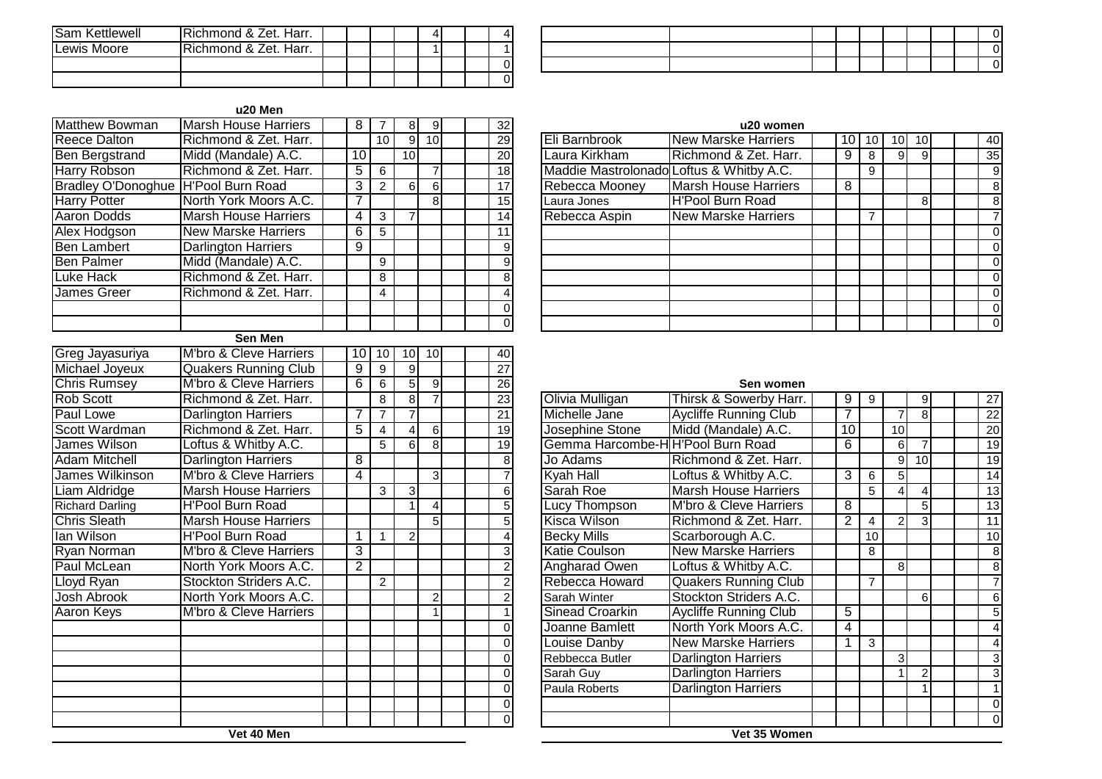| ISam Kettlewell | IRichmond & Zet. Harr. |  |  |  |  |
|-----------------|------------------------|--|--|--|--|
| Lewis Moore     | IRichmond & Zet. Harr. |  |  |  |  |
|                 |                        |  |  |  |  |
|                 |                        |  |  |  |  |

#### **u20 Men**

| <b>Matthew Bowman</b>     | <b>Marsh House Harriers</b>       | $\overline{8}$  | $\overline{7}$ | 8              | ۱g              |  | $\overline{32}$ |                                   | u20 womer                                |
|---------------------------|-----------------------------------|-----------------|----------------|----------------|-----------------|--|-----------------|-----------------------------------|------------------------------------------|
| <b>Reece Dalton</b>       | Richmond & Zet. Harr.             |                 | 10             | $\overline{9}$ | 10 <sup>1</sup> |  | $\overline{29}$ | Eli Barnbrook                     | <b>New Marske Harriers</b>               |
| <b>Ben Bergstrand</b>     | Midd (Mandale) A.C.               | 10              |                | 10             |                 |  | $\overline{20}$ | Laura Kirkham                     | Richmond & Zet. Harr.                    |
| <b>Harry Robson</b>       | Richmond & Zet. Harr.             | 5               | 6              |                | 7               |  | 18              |                                   | Maddie Mastrolonado Loftus & Whitby A.C. |
| <b>Bradley O'Donoghue</b> | <b>H'Pool Burn Road</b>           | 3               | $\overline{2}$ | 6              | $\sigma$        |  | 17              | Rebecca Mooney                    | <b>Marsh House Harriers</b>              |
| <b>Harry Potter</b>       | North York Moors A.C.             | 7               |                |                | 8 <sup>1</sup>  |  | 15              | Laura Jones                       | <b>H'Pool Burn Road</b>                  |
| <b>Aaron Dodds</b>        | <b>Marsh House Harriers</b>       | 4               | 3              | $\overline{7}$ |                 |  | 14              | Rebecca Aspin                     | <b>New Marske Harriers</b>               |
| Alex Hodgson              | <b>New Marske Harriers</b>        | 6               | 5              |                |                 |  | 11              |                                   |                                          |
| <b>Ben Lambert</b>        | <b>Darlington Harriers</b>        | 9               |                |                |                 |  | 9               |                                   |                                          |
| <b>Ben Palmer</b>         | Midd (Mandale) A.C.               |                 | 9              |                |                 |  | $\overline{9}$  |                                   |                                          |
| <b>Luke Hack</b>          | Richmond & Zet. Harr.             |                 | 8              |                |                 |  | $\overline{8}$  |                                   |                                          |
| <b>James Greer</b>        | Richmond & Zet. Harr.             |                 | 4              |                |                 |  | 4               |                                   |                                          |
|                           |                                   |                 |                |                |                 |  | $\overline{0}$  |                                   |                                          |
|                           |                                   |                 |                |                |                 |  | $\overline{0}$  |                                   |                                          |
|                           | <b>Sen Men</b>                    |                 |                |                |                 |  |                 |                                   |                                          |
| Greg Jayasuriya           | M'bro & Cleve Harriers            | 10 <sub>l</sub> | 10             | 10             | 10              |  | 40              |                                   |                                          |
| Michael Joyeux            | <b>Quakers Running Club</b>       | $\overline{9}$  | 9              | 9              |                 |  | $\overline{27}$ |                                   |                                          |
| <b>Chris Rumsey</b>       | <b>M'bro &amp; Cleve Harriers</b> | $\overline{6}$  | 6              | $\overline{5}$ | $\overline{9}$  |  | $\overline{26}$ |                                   | Sen womer                                |
| Rob Scott                 | Richmond & Zet. Harr.             |                 | $\overline{8}$ | $\overline{8}$ | $\overline{7}$  |  | 23              | Olivia Mulligan                   | Thirsk & Sowerby Harr                    |
| Paul Lowe                 | Darlington Harriers               | 7               | $\overline{7}$ | $\overline{7}$ |                 |  | 21              | Michelle Jane                     | Aycliffe Running Club                    |
| Scott Wardman             | Richmond & Zet. Harr.             | $\overline{5}$  | $\overline{4}$ | 4              | $6 \mid$        |  | 19              | Josephine Stone                   | Midd (Mandale) A.C.                      |
| <b>James Wilson</b>       | Loftus & Whitby A.C.              |                 | 5              | 6              | $\infty$        |  | $\overline{19}$ | Gemma Harcombe-H H'Pool Burn Road |                                          |
| <b>Adam Mitchell</b>      | <b>Darlington Harriers</b>        | $\overline{8}$  |                |                |                 |  | 8               | Jo Adams                          | Richmond & Zet. Harr.                    |
| James Wilkinson           | M'bro & Cleve Harriers            | $\overline{4}$  |                |                | 3               |  | $\overline{7}$  | <b>Kyah Hall</b>                  | Loftus & Whitby A.C.                     |
| Liam Aldridge             | <b>Marsh House Harriers</b>       |                 | 3              | 3              |                 |  | 6               | Sarah Roe                         | <b>Marsh House Harriers</b>              |
| <b>Richard Darling</b>    | <b>H'Pool Burn Road</b>           |                 |                | 1              | $\vert 4 \vert$ |  | $\overline{5}$  | <b>Lucy Thompson</b>              | M'bro & Cleve Harriers                   |
| <b>Chris Sleath</b>       | <b>Marsh House Harriers</b>       |                 |                |                | 5 <sup>1</sup>  |  | $\overline{5}$  | Kisca Wilson                      | Richmond & Zet. Harr.                    |
| lan Wilson                | <b>H'Pool Burn Road</b>           | 1               | $\mathbf{1}$   | $\overline{2}$ |                 |  | 4               | <b>Becky Mills</b>                | Scarborough A.C.                         |
| <b>Ryan Norman</b>        | M'bro & Cleve Harriers            | $\overline{3}$  |                |                |                 |  | $\overline{3}$  | <b>Katie Coulson</b>              | <b>New Marske Harriers</b>               |
| Paul McLean               | North York Moors A.C.             | $\overline{2}$  |                |                |                 |  | $\overline{2}$  | <b>Angharad Owen</b>              | Loftus & Whitby A.C.                     |
| Lloyd Ryan                | Stockton Striders A.C.            |                 | $\overline{2}$ |                |                 |  | $\overline{2}$  | Rebecca Howard                    | <b>Quakers Running Club</b>              |
| <b>Josh Abrook</b>        | North York Moors A.C.             |                 |                |                | $\overline{c}$  |  | $\overline{2}$  | Sarah Winter                      | Stockton Striders A.C.                   |
| <b>Aaron Keys</b>         | M'bro & Cleve Harriers            |                 |                |                | $\mathbf{1}$    |  |                 | <b>Sinead Croarkin</b>            | <b>Aycliffe Running Club</b>             |
|                           |                                   |                 |                |                |                 |  | $\Omega$        | Joanne Bamlett                    | North York Moors A.C.                    |
|                           |                                   |                 |                |                |                 |  | $\Omega$        | Louise Danby                      | <b>New Marske Harriers</b>               |
|                           |                                   |                 |                |                |                 |  | $\Omega$        | Rebbecca Butler                   | Darlington Harriers                      |
|                           |                                   |                 |                |                |                 |  |                 |                                   |                                          |

| 8  | 9               |  | 32 |                                          | u20 women                   |   |    |    |    |  |                 |
|----|-----------------|--|----|------------------------------------------|-----------------------------|---|----|----|----|--|-----------------|
| 9  | 10 <sup>1</sup> |  | 29 | Eli Barnbrook                            | <b>New Marske Harriers</b>  |   | 10 | 10 | 10 |  | 40              |
| O  |                 |  | 20 | Laura Kirkham                            | Richmond & Zet. Harr.       | 9 | 8  | 9  | 9  |  | 35 <sub>l</sub> |
|    |                 |  | 18 | Maddie Mastrolonado Loftus & Whitby A.C. |                             |   | 9  |    |    |  | 9               |
| 61 | 6               |  | 17 | Rebecca Mooney                           | <b>Marsh House Harriers</b> | 8 |    |    |    |  | 8               |
|    | 8               |  | 15 | Laura Jones                              | <b>H'Pool Burn Road</b>     |   |    |    | 8  |  | 8               |
|    |                 |  | 14 | Rebecca Aspin                            | <b>New Marske Harriers</b>  |   | 7  |    |    |  |                 |
|    |                 |  | 11 |                                          |                             |   |    |    |    |  |                 |
|    |                 |  | 9  |                                          |                             |   |    |    |    |  |                 |
|    |                 |  | 9  |                                          |                             |   |    |    |    |  | $\Omega$        |
|    |                 |  | 8  |                                          |                             |   |    |    |    |  | 0               |
|    |                 |  | 4  |                                          |                             |   |    |    |    |  |                 |
|    |                 |  | 0  |                                          |                             |   |    |    |    |  |                 |
|    |                 |  | 0  |                                          |                             |   |    |    |    |  | 0               |

#### **Sen women**

| 8 |                |  | 23             | Olivia Mulligan                  | Thirsk & Sowerby Harr.       | 9              | 9  |                | 9              |  | 27              |
|---|----------------|--|----------------|----------------------------------|------------------------------|----------------|----|----------------|----------------|--|-----------------|
|   |                |  | 21             | Michelle Jane                    | <b>Aycliffe Running Club</b> | 7              |    | 7              | 8              |  | $\overline{22}$ |
|   | 6 <sup>1</sup> |  | 19             | Josephine Stone                  | Midd (Mandale) A.C.          | 10             |    | 10             |                |  | $\overline{20}$ |
|   | 8 <sup>1</sup> |  | 19             | Gemma Harcombe-HH'Pool Burn Road |                              | 6              |    | 6              | 7              |  | 19              |
|   |                |  | 8              | Jo Adams                         | Richmond & Zet. Harr.        |                |    | 9              | 10             |  | 19              |
|   | $\overline{3}$ |  | 7              | Kyah Hall                        | Loftus & Whitby A.C.         | 3              | 6  | 5              |                |  | 14              |
| 3 |                |  | 6              | Sarah Roe                        | <b>Marsh House Harriers</b>  |                | 5  | 4              | 4              |  | 13              |
|   | 4              |  | 5 <sup>1</sup> | <b>Lucy Thompson</b>             | M'bro & Cleve Harriers       | 8              |    |                | 5              |  | 13              |
|   | 5              |  | 5              | Kisca Wilson                     | Richmond & Zet. Harr.        | $\overline{2}$ | 4  | $\overline{2}$ | 3              |  | 11              |
|   |                |  | 4              | <b>Becky Mills</b>               | Scarborough A.C.             |                | 10 |                |                |  | 10              |
|   |                |  | 3              | <b>Katie Coulson</b>             | <b>New Marske Harriers</b>   |                | 8  |                |                |  | 8               |
|   |                |  | 2              | Angharad Owen                    | Loftus & Whitby A.C.         |                |    | 8              |                |  | 8               |
|   |                |  | 2              | Rebecca Howard                   | <b>Quakers Running Club</b>  |                | 7  |                |                |  |                 |
|   | $\overline{2}$ |  | 2              | Sarah Winter                     | Stockton Striders A.C.       |                |    |                | 6 <sup>1</sup> |  | 6               |
|   |                |  |                | Sinead Croarkin                  | <b>Aycliffe Running Club</b> | 5              |    |                |                |  | 5               |
|   |                |  | 0              | Joanne Bamlett                   | North York Moors A.C.        | 4              |    |                |                |  |                 |
|   |                |  | 0              | Louise Danby                     | <b>New Marske Harriers</b>   | 1              | 3  |                |                |  | 4               |
|   |                |  | 0              | Rebbecca Butler                  | Darlington Harriers          |                |    | 3              |                |  | 3               |
|   |                |  | 0              | Sarah Guy                        | <b>Darlington Harriers</b>   |                |    |                | 2              |  | 3               |
|   |                |  | 0              | Paula Roberts                    | <b>Darlington Harriers</b>   |                |    |                |                |  |                 |
|   |                |  | $\Omega$       |                                  |                              |                |    |                |                |  | $\mathbf 0$     |
|   |                |  | $\overline{0}$ |                                  |                              |                |    |                |                |  | $\Omega$        |
|   |                |  |                |                                  | Vet 35 Women                 |                |    |                |                |  |                 |

**Vet 40 Men**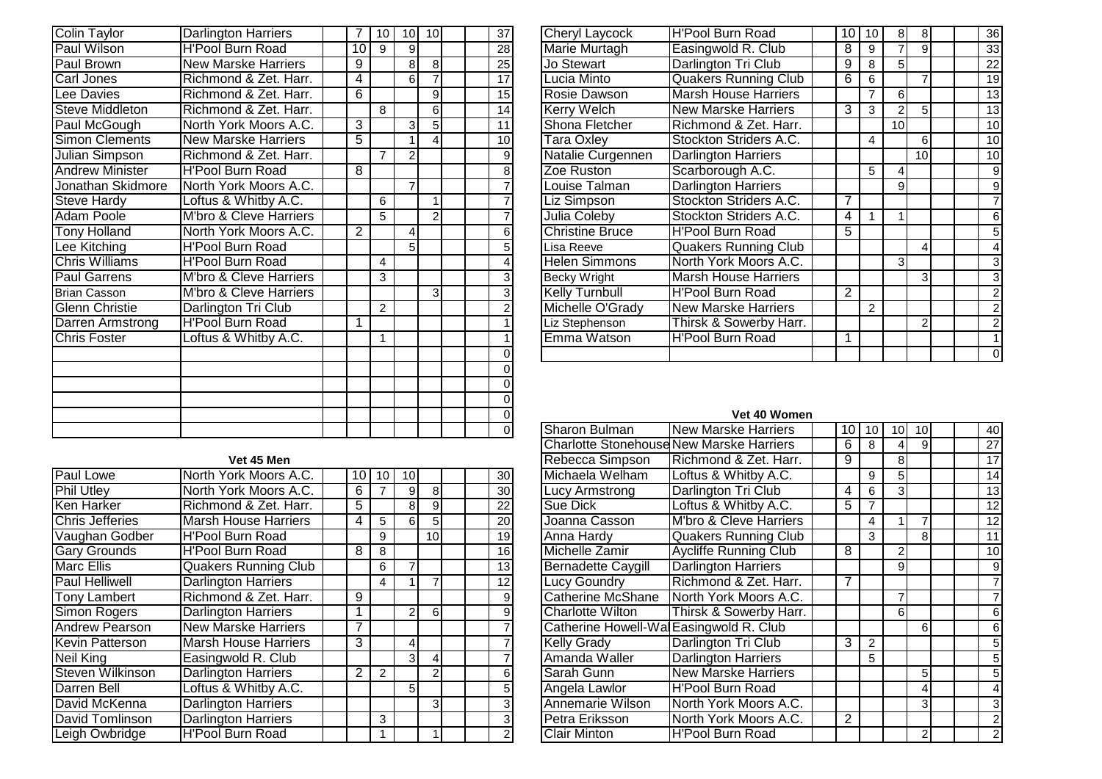| Colin Taylor           | Darlington Harriers        | 7               | 10             | 10             | 10             |  | 37              |
|------------------------|----------------------------|-----------------|----------------|----------------|----------------|--|-----------------|
| <b>Paul Wilson</b>     | <b>H'Pool Burn Road</b>    | $\overline{10}$ | 9              | 9              |                |  | $\overline{28}$ |
| <b>Paul Brown</b>      | <b>New Marske Harriers</b> | 9               |                | 8              | $\overline{8}$ |  | 25              |
| Carl Jones             | Richmond & Zet. Harr.      | 4               |                | 6              | $\overline{7}$ |  | $\overline{17}$ |
| Lee Davies             | Richmond & Zet. Harr.      | 6               |                |                | 9              |  | 15              |
| <b>Steve Middleton</b> | Richmond & Zet. Harr.      |                 | 8              |                | $\overline{6}$ |  | $\overline{14}$ |
| Paul McGough           | North York Moors A.C.      | $\overline{3}$  |                | 3              | 5              |  | 11              |
| Simon Clements         | <b>New Marske Harriers</b> | 5               |                | 1              | 4              |  | 10              |
| <b>Julian Simpson</b>  | Richmond & Zet. Harr.      |                 | $\overline{7}$ | $\overline{2}$ |                |  | 9               |
| <b>Andrew Minister</b> | <b>H'Pool Burn Road</b>    | 8               |                |                |                |  | $\overline{8}$  |
| Jonathan Skidmore      | North York Moors A.C.      |                 |                | $\overline{7}$ |                |  | $\overline{7}$  |
| <b>Steve Hardy</b>     | Loftus & Whitby A.C.       |                 | 6              |                | 1              |  | $\overline{7}$  |
| <b>Adam Poole</b>      | M'bro & Cleve Harriers     |                 | 5              |                | $\overline{2}$ |  | 7               |
| <b>Tony Holland</b>    | North York Moors A.C.      | 2               |                | 4              |                |  | $\overline{6}$  |
| Lee Kitching           | <b>H'Pool Burn Road</b>    |                 |                | 5              |                |  | 5               |
| <b>Chris Williams</b>  | <b>H'Pool Burn Road</b>    |                 | 4              |                |                |  | $\overline{4}$  |
| <b>Paul Garrens</b>    | M'bro & Cleve Harriers     |                 | 3              |                |                |  | $rac{3}{3}$     |
| <b>Brian Casson</b>    | M'bro & Cleve Harriers     |                 |                |                | 3              |  |                 |
| <b>Glenn Christie</b>  | Darlington Tri Club        |                 | 2              |                |                |  | $\overline{2}$  |
| Darren Armstrong       | <b>H'Pool Burn Road</b>    | 1               |                |                |                |  | $\overline{1}$  |
| <b>Chris Foster</b>    | Loftus & Whitby A.C.       |                 | 1              |                |                |  | $\overline{1}$  |
|                        |                            |                 |                |                |                |  | 0               |
|                        |                            |                 |                |                |                |  | $\overline{0}$  |
|                        |                            |                 |                |                |                |  | $\overline{0}$  |
|                        |                            |                 |                |                |                |  | $\mathbf 0$     |
|                        |                            |                 |                |                |                |  | $\overline{0}$  |
|                        |                            |                 |                |                |                |  | $\Omega$        |

|                         | Vet 45 Men                  |                |    |    |                 |  |                 | Rebecca Simpson                         | Richmond & Zet. Har          |
|-------------------------|-----------------------------|----------------|----|----|-----------------|--|-----------------|-----------------------------------------|------------------------------|
| Paul Lowe               | North York Moors A.C.       | 10 I           | 10 | 10 |                 |  | 30              | Michaela Welham                         | Loftus & Whitby A.C.         |
| <b>Phil Utley</b>       | North York Moors A.C.       | 6              |    | 9  | 8               |  | 30 <sub>l</sub> | Lucy Armstrong                          | Darlington Tri Club          |
| <b>Ken Harker</b>       | Richmond & Zet. Harr.       | 5              |    | 8  | 9               |  | 22              | Sue Dick                                | Loftus & Whitby A.C.         |
| <b>Chris Jefferies</b>  | <b>Marsh House Harriers</b> | 4              | 5  | 6  | 51              |  | 20              | Joanna Casson                           | M'bro & Cleve Harrie         |
| Vaughan Godber          | <b>H'Pool Burn Road</b>     |                | 9  |    | 10 <sup>1</sup> |  | 19              | Anna Hardy                              | <b>Quakers Running Cli</b>   |
| <b>Gary Grounds</b>     | <b>H'Pool Burn Road</b>     | 8              | 8  |    |                 |  | 16              | Michelle Zamir                          | <b>Aycliffe Running Club</b> |
| <b>Marc Ellis</b>       | <b>Quakers Running Club</b> |                | 6  |    |                 |  | 13              | <b>Bernadette Caygill</b>               | <b>Darlington Harriers</b>   |
| <b>Paul Helliwell</b>   | <b>Darlington Harriers</b>  |                | 4  |    |                 |  | 12              | <b>Lucy Goundry</b>                     | Richmond & Zet. Har          |
| <b>Tony Lambert</b>     | Richmond & Zet. Harr.       | 9              |    |    |                 |  |                 | <b>Catherine McShane</b>                | North York Moors A.          |
| Simon Rogers            | <b>Darlington Harriers</b>  |                |    | 2  | 6               |  | 9               | <b>Charlotte Wilton</b>                 | Thirsk & Sowerby Ha          |
| <b>Andrew Pearson</b>   | <b>New Marske Harriers</b>  |                |    |    |                 |  |                 | Catherine Howell-Wal Easingwold R. Club |                              |
| Kevin Patterson         | <b>Marsh House Harriers</b> | 3              |    | 4  |                 |  |                 | <b>Kelly Grady</b>                      | Darlington Tri Club          |
| Neil King               | Easingwold R. Club          |                |    | 31 |                 |  |                 | Amanda Waller                           | Darlington Harriers          |
| <b>Steven Wilkinson</b> | <b>Darlington Harriers</b>  | $\overline{2}$ | 2  |    |                 |  | 6               | Sarah Gunn                              | <b>New Marske Harriers</b>   |
| <b>IDarren Bell</b>     | Loftus & Whitby A.C.        |                |    | 5  |                 |  |                 | Angela Lawlor                           | <b>H'Pool Burn Road</b>      |
| David McKenna           | <b>Darlington Harriers</b>  |                |    |    | 31              |  | 3               | Annemarie Wilson                        | North York Moors A.          |
| David Tomlinson         | <b>Darlington Harriers</b>  |                | 3  |    |                 |  | 3               | Petra Eriksson                          | North York Moors A.          |
| Leigh Owbridge          | <b>H'Pool Burn Road</b>     |                |    |    |                 |  |                 | <b>Clair Minton</b>                     | <b>H'Pool Burn Road</b>      |

| 7                       | 10 | 10 <sup>1</sup> | 10 <sup>1</sup> |  | 37 | <b>Cheryl Laycock</b>  | <b>H'Pool Burn Road</b>     | 10             | 10             | 8               | 8              |  | 36                      |
|-------------------------|----|-----------------|-----------------|--|----|------------------------|-----------------------------|----------------|----------------|-----------------|----------------|--|-------------------------|
| 0                       | 9  | 9               |                 |  | 28 | <b>Marie Murtagh</b>   | Easingwold R. Club          | 8              | 9              | 7               | 9              |  | 33                      |
| 9                       |    | 8               | 8 <sup>1</sup>  |  | 25 | Jo Stewart             | Darlington Tri Club         | 9              | 8              | 5 <sup>1</sup>  |                |  | 22                      |
| 4                       |    | 6               | 7               |  | 17 | Lucia Minto            | <b>Quakers Running Club</b> | 6              | 6              |                 | 7              |  | 19                      |
| $\overline{6}$          |    |                 | 9               |  | 15 | Rosie Dawson           | <b>Marsh House Harriers</b> |                |                | 6               |                |  | 13                      |
|                         | 8  |                 | 6               |  | 14 | <b>Kerry Welch</b>     | <b>New Marske Harriers</b>  | 3              | 3              | 2               | 5              |  | 13                      |
| $\overline{\mathbf{3}}$ |    | $\overline{3}$  | 5               |  | 11 | Shona Fletcher         | Richmond & Zet. Harr.       |                |                | 10 <sup>1</sup> |                |  | 10                      |
| $\overline{5}$          |    |                 | 4               |  | 10 | Tara Oxley             | Stockton Striders A.C.      |                | 4              |                 | 6              |  | 10                      |
|                         | 7  | 2               |                 |  | 9  | Natalie Curgennen      | <b>Darlington Harriers</b>  |                |                |                 | 10             |  | 10                      |
| 8                       |    |                 |                 |  | 8  | Zoe Ruston             | Scarborough A.C.            |                | 5              | 4               |                |  | $\boldsymbol{9}$        |
|                         |    |                 |                 |  |    | Louise Talman          | <b>Darlington Harriers</b>  |                |                | 9               |                |  | $\overline{9}$          |
|                         | 6  |                 | 1 <sub>1</sub>  |  |    | Liz Simpson            | Stockton Striders A.C.      | 7              |                |                 |                |  | $\overline{7}$          |
|                         | 5  |                 | 2               |  |    | Julia Coleby           | Stockton Striders A.C.      | 4              |                |                 |                |  | 6                       |
|                         |    | 4               |                 |  | 6  | <b>Christine Bruce</b> | <b>H'Pool Burn Road</b>     | 5              |                |                 |                |  | 5                       |
|                         |    | 5               |                 |  | 5  | Lisa Reeve             | <b>Quakers Running Club</b> |                |                |                 | 4              |  | 4                       |
|                         | 4  |                 |                 |  |    | <b>Helen Simmons</b>   | North York Moors A.C.       |                |                | 3               |                |  | 3                       |
|                         | 3  |                 |                 |  | 3  | <b>Becky Wright</b>    | <b>Marsh House Harriers</b> |                |                |                 | 3              |  | 3                       |
|                         |    |                 | $\vert$ 3       |  | 3  | <b>Kelly Turnbull</b>  | <b>H'Pool Burn Road</b>     | $\overline{2}$ |                |                 |                |  | $\overline{2}$          |
|                         | 2  |                 |                 |  | 2  | Michelle O'Grady       | <b>New Marske Harriers</b>  |                | $\overline{2}$ |                 |                |  | $\overline{2}$          |
|                         |    |                 |                 |  |    | Liz Stephenson         | Thirsk & Sowerby Harr.      |                |                |                 | $\overline{2}$ |  | $\overline{\mathbf{c}}$ |
|                         |    |                 |                 |  |    | Emma Watson            | <b>H'Pool Burn Road</b>     |                |                |                 |                |  | $\overline{1}$          |
|                         |    |                 |                 |  |    |                        |                             |                |                |                 |                |  | 0                       |
|                         |    |                 |                 |  |    |                        |                             |                |                |                 |                |  |                         |

### **Vet 40 Women**

|                |                |                 |  | $\Omega$        |                                                 |                              |                |                |                 |                 |  |                         |
|----------------|----------------|-----------------|--|-----------------|-------------------------------------------------|------------------------------|----------------|----------------|-----------------|-----------------|--|-------------------------|
|                |                |                 |  | 0               |                                                 |                              |                |                |                 |                 |  |                         |
|                |                |                 |  | 0               |                                                 |                              |                |                |                 |                 |  |                         |
|                |                |                 |  | $\Omega$        |                                                 | Vet 40 Women                 |                |                |                 |                 |  |                         |
|                |                |                 |  | $\Omega$        | Sharon Bulman                                   | <b>New Marske Harriers</b>   | 10             | 10             | 10 <sup>1</sup> | 10 <sup>1</sup> |  | 40                      |
|                |                |                 |  |                 | <b>Charlotte Stonehouse New Marske Harriers</b> |                              | 6              | 8              | $\overline{4}$  | 9               |  | $\overline{27}$         |
|                |                |                 |  |                 | Rebecca Simpson                                 | Richmond & Zet. Harr.        | 9              |                | 8 <sup>1</sup>  |                 |  | 17                      |
| 10             | 10             |                 |  | 30 <sub>1</sub> | Michaela Welham                                 | Loftus & Whitby A.C.         |                | 9              | 5               |                 |  | 14                      |
| $\overline{7}$ | 9              | 8 <sup>1</sup>  |  | 30              | Lucy Armstrong                                  | Darlington Tri Club          | 4              | 6              | 3               |                 |  | 13                      |
|                | 8 <sup>1</sup> | $\overline{9}$  |  | 22              | Sue Dick                                        | Loftus & Whitby A.C.         | 5              | $\overline{7}$ |                 |                 |  | 12                      |
| 5              | 6              | $\overline{5}$  |  | 20              | Joanna Casson                                   | M'bro & Cleve Harriers       |                | 4              | 1               | 7               |  | 12                      |
| $\overline{9}$ |                | 10 <sup>1</sup> |  | 19              | Anna Hardy                                      | <b>Quakers Running Club</b>  |                | 3              |                 | 8               |  | 11                      |
| $\frac{1}{8}$  |                |                 |  | 16              | Michelle Zamir                                  | <b>Aycliffe Running Club</b> | 8              |                | 2               |                 |  | 10                      |
| $\frac{1}{6}$  |                |                 |  | $\overline{13}$ | <b>Bernadette Caygill</b>                       | <b>Darlington Harriers</b>   |                |                | 9               |                 |  | $\overline{9}$          |
| 4              |                | $\overline{7}$  |  | 12              | <b>Lucy Goundry</b>                             | Richmond & Zet. Harr.        | 7              |                |                 |                 |  | $\overline{7}$          |
|                |                |                 |  | $\overline{9}$  | <b>Catherine McShane</b>                        | North York Moors A.C.        |                |                | 7               |                 |  | $\overline{7}$          |
|                | $\overline{2}$ | $6 \mid$        |  | $\overline{9}$  | <b>Charlotte Wilton</b>                         | Thirsk & Sowerby Harr.       |                |                | 6               |                 |  | $\,6$                   |
|                |                |                 |  | $\overline{7}$  | Catherine Howell-Wal Easingwold R. Club         |                              |                |                |                 | $6 \mid$        |  | $\,6$                   |
|                | 4              |                 |  | 7               | <b>Kelly Grady</b>                              | Darlington Tri Club          | 3              | 2              |                 |                 |  | $\overline{5}$          |
|                | 3              | $\vert$         |  | 7               | Amanda Waller                                   | <b>Darlington Harriers</b>   |                | 5              |                 |                 |  | $\overline{5}$          |
| 2              |                | $\overline{c}$  |  | 6               | Sarah Gunn                                      | <b>New Marske Harriers</b>   |                |                |                 | 5               |  | $\overline{5}$          |
|                | 5 <sup>5</sup> |                 |  | $\overline{5}$  | Angela Lawlor                                   | <b>H'Pool Burn Road</b>      |                |                |                 | 4               |  | $\overline{\mathbf{4}}$ |
|                |                | $\overline{3}$  |  | $\overline{3}$  | Annemarie Wilson                                | North York Moors A.C.        |                |                |                 | 3               |  | $\overline{3}$          |
| 3              |                |                 |  | $\overline{3}$  | Petra Eriksson                                  | North York Moors A.C.        | $\overline{2}$ |                |                 |                 |  | $\overline{2}$          |
| $\overline{1}$ |                | 1 <sup>1</sup>  |  | $\overline{2}$  | <b>Clair Minton</b>                             | <b>H'Pool Burn Road</b>      |                |                |                 | $\overline{2}$  |  | $\overline{2}$          |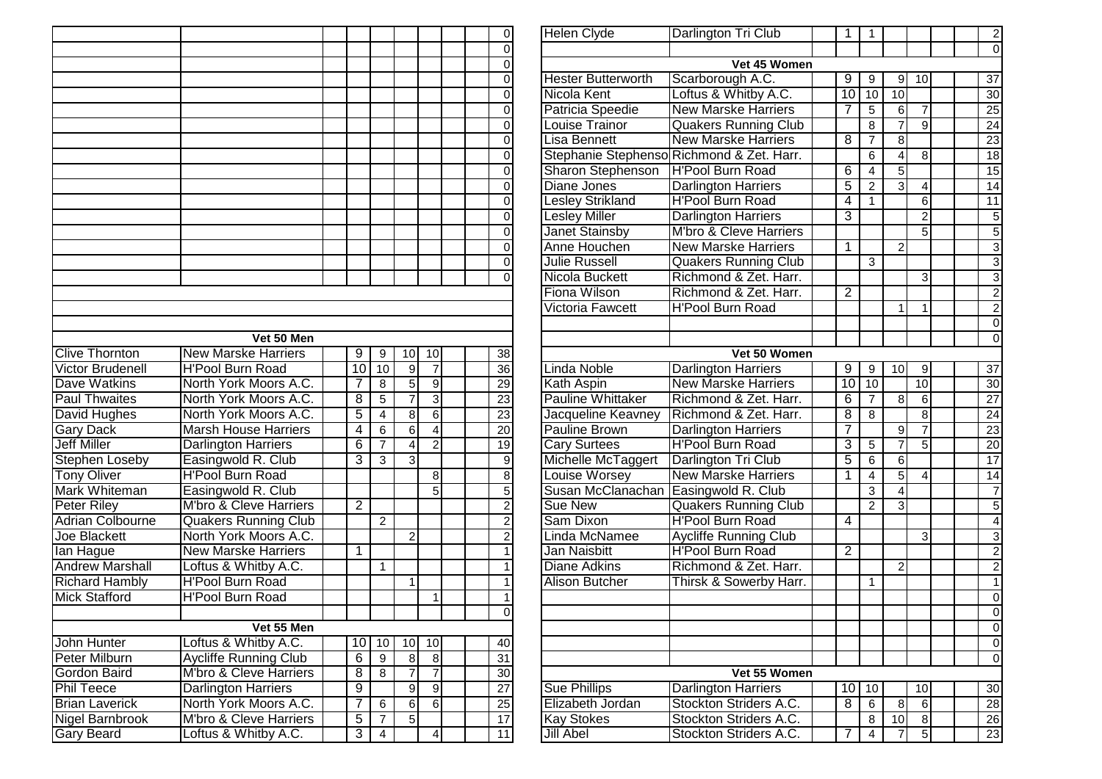|                         |                                   |                |                         |                |                  |  | $\vert 0 \vert$         |
|-------------------------|-----------------------------------|----------------|-------------------------|----------------|------------------|--|-------------------------|
|                         |                                   |                |                         |                |                  |  | 0                       |
|                         |                                   |                |                         |                |                  |  | 0                       |
|                         |                                   |                |                         |                |                  |  | $\overline{0}$          |
|                         |                                   |                |                         |                |                  |  | $\overline{0}$          |
|                         |                                   |                |                         |                |                  |  | $\overline{0}$          |
|                         |                                   |                |                         |                |                  |  | $\overline{0}$          |
|                         |                                   |                |                         |                |                  |  | $\overline{0}$          |
|                         |                                   |                |                         |                |                  |  | $\overline{0}$          |
|                         |                                   |                |                         |                |                  |  | $\overline{0}$          |
|                         |                                   |                |                         |                |                  |  | $\overline{0}$          |
|                         |                                   |                |                         |                |                  |  | $\overline{0}$          |
|                         |                                   |                |                         |                |                  |  | $\overline{0}$          |
|                         |                                   |                |                         |                |                  |  | $\overline{0}$          |
|                         |                                   |                |                         |                |                  |  | $\overline{0}$          |
|                         |                                   |                |                         |                |                  |  |                         |
|                         |                                   |                |                         |                |                  |  | $\overline{0}$          |
|                         |                                   |                |                         |                |                  |  | $\Omega$                |
|                         |                                   |                |                         |                |                  |  |                         |
|                         |                                   |                |                         |                |                  |  |                         |
|                         |                                   |                |                         |                |                  |  |                         |
|                         | Vet 50 Men                        |                |                         |                |                  |  |                         |
| <b>Clive Thornton</b>   | <b>New Marske Harriers</b>        | 9              | 9                       | 10             | 10               |  | 38                      |
| <b>Victor Brudenell</b> | <b>H'Pool Burn Road</b>           | 10             | 10                      | 9              | $\overline{7}$   |  | 36                      |
| Dave Watkins            | North York Moors A.C.             | 7              | 8                       | 5              | $\boldsymbol{9}$ |  | 29                      |
| <b>Paul Thwaites</b>    | North York Moors A.C.             | 8              | 5                       | $\overline{7}$ | $\overline{3}$   |  | $\overline{23}$         |
| <b>David Hughes</b>     | North York Moors A.C.             | 5              | $\overline{4}$          | $\overline{8}$ | $\overline{6}$   |  | 23                      |
| <b>Gary Dack</b>        | <b>Marsh House Harriers</b>       | 4              | 6                       | $\overline{6}$ | $\overline{4}$   |  | 20                      |
| <b>Jeff Miller</b>      | <b>Darlington Harriers</b>        | $\overline{6}$ | $\overline{7}$          | 4              | $\overline{2}$   |  | 19                      |
| <b>Stephen Loseby</b>   | Easingwold R. Club                | 3              | 3                       | 3              |                  |  | 9                       |
| <b>Tony Oliver</b>      | <b>H'Pool Burn Road</b>           |                |                         |                | 8                |  | $\overline{8}$          |
| <b>Mark Whiteman</b>    | Easingwold R. Club                |                |                         |                | 5                |  | 5                       |
| <b>Peter Riley</b>      | M'bro & Cleve Harriers            | $\overline{2}$ |                         |                |                  |  | $\overline{2}$          |
| <b>Adrian Colbourne</b> | <b>Quakers Running Club</b>       |                | $\overline{2}$          |                |                  |  | $\overline{c}$          |
| <b>Joe Blackett</b>     | North York Moors A.C.             |                |                         | $\overline{2}$ |                  |  | $\overline{\mathbf{c}}$ |
| lan Hague               | <b>New Marske Harriers</b>        | 1              |                         |                |                  |  | $\overline{1}$          |
| <b>Andrew Marshall</b>  | Loftus & Whitby A.C.              |                | 1                       |                |                  |  | $\overline{1}$          |
| <b>Richard Hambly</b>   | <b>H'Pool Burn Road</b>           |                |                         | 1              |                  |  | $\mathbf 1$             |
| <b>Mick Stafford</b>    | <b>H'Pool Burn Road</b>           |                |                         |                | 1                |  | $\mathbf 1$             |
|                         |                                   |                |                         |                |                  |  | 0                       |
|                         | Vet 55 Men                        |                |                         |                |                  |  |                         |
| John Hunter             | Loftus & Whitby A.C.              | 10             | 10                      | 10             | 10               |  | 40                      |
| <b>Peter Milburn</b>    | <b>Aycliffe Running Club</b>      | 6              | 9                       | 8              | 8 <sup>1</sup>   |  | 31                      |
| Gordon Baird            | <b>M'bro &amp; Cleve Harriers</b> | 8              | 8                       | $\overline{7}$ | $\overline{7}$   |  | 30                      |
| <b>Phil Teece</b>       | <b>Darlington Harriers</b>        | $\overline{9}$ |                         |                |                  |  |                         |
|                         |                                   | 7              |                         | 9              | $\overline{9}$   |  | 27                      |
| <b>Brian Laverick</b>   | North York Moors A.C.             |                | 6                       | $\overline{6}$ | $\overline{6}$   |  | 25                      |
| <b>Nigel Barnbrook</b>  | M'bro & Cleve Harriers            | $\overline{5}$ | $\overline{7}$          | 5              |                  |  | 17                      |
| <b>Gary Beard</b>       | Loftus & Whitby A.C.              | $\overline{3}$ | $\overline{\mathbf{4}}$ |                | $\vert 4 \vert$  |  | 11                      |

|                                                                       |                         | 0               | Helen Clyde               | Darlington Tri Club                       | 1               | 1              |                |                 |  | $\mathbf{2}$    |
|-----------------------------------------------------------------------|-------------------------|-----------------|---------------------------|-------------------------------------------|-----------------|----------------|----------------|-----------------|--|-----------------|
|                                                                       |                         | 0               |                           |                                           |                 |                |                |                 |  | $\mathbf 0$     |
|                                                                       |                         | 0               |                           | Vet 45 Women                              |                 |                |                |                 |  |                 |
|                                                                       |                         | 0               | <b>Hester Butterworth</b> | Scarborough A.C.                          | 9               | 9              | 9              | 10              |  | 37              |
|                                                                       |                         | 0               | Nicola Kent               | Loftus & Whitby A.C.                      | $\overline{10}$ | 10             | 10             |                 |  | $\overline{30}$ |
|                                                                       |                         | 0               | Patricia Speedie          | <b>New Marske Harriers</b>                | 7               | 5              | 6              | 7               |  | $\overline{25}$ |
|                                                                       |                         | 0               | Louise Trainor            | <b>Quakers Running Club</b>               |                 | $\overline{8}$ | $\overline{7}$ | $\overline{9}$  |  | $\overline{24}$ |
|                                                                       |                         | 0               | Lisa Bennett              | <b>New Marske Harriers</b>                | 8               | $\overline{7}$ | 8              |                 |  | $\overline{23}$ |
|                                                                       |                         | $\mathbf 0$     |                           | Stephanie Stephenso Richmond & Zet. Harr. |                 | $\overline{6}$ | $\overline{4}$ | $\overline{8}$  |  | 18              |
|                                                                       |                         | 0               | Sharon Stephenson         | <b>H'Pool Burn Road</b>                   | $\overline{6}$  | $\overline{4}$ | $\overline{5}$ |                 |  | 15              |
|                                                                       |                         | 0               | Diane Jones               | <b>Darlington Harriers</b>                | $\overline{5}$  | $\overline{2}$ | $\overline{3}$ | 4               |  | 14              |
|                                                                       |                         | 0               | <b>Lesley Strikland</b>   | <b>H'Pool Burn Road</b>                   | $\overline{4}$  | $\overline{1}$ |                | $\overline{6}$  |  | 11              |
|                                                                       |                         | 0               | <b>Lesley Miller</b>      | <b>Darlington Harriers</b>                | $\overline{3}$  |                |                | $\overline{2}$  |  | $\overline{5}$  |
|                                                                       |                         | 0               | <b>Janet Stainsby</b>     | M'bro & Cleve Harriers                    |                 |                |                | $\overline{5}$  |  | $\overline{5}$  |
|                                                                       |                         | 0               | Anne Houchen              | <b>New Marske Harriers</b>                | 1               |                | $\overline{2}$ |                 |  |                 |
|                                                                       |                         | $\mathbf 0$     | <b>Julie Russell</b>      | <b>Quakers Running Club</b>               |                 | $\overline{3}$ |                |                 |  | $\frac{3}{3}$   |
|                                                                       |                         | $\overline{0}$  | Nicola Buckett            | Richmond & Zet. Harr.                     |                 |                |                | $\overline{3}$  |  |                 |
|                                                                       |                         |                 | Fiona Wilson              | Richmond & Zet. Harr.                     | $\overline{2}$  |                |                |                 |  | $\overline{2}$  |
|                                                                       |                         |                 | Victoria Fawcett          | <b>H'Pool Burn Road</b>                   |                 |                | 1              | 1               |  | $\overline{2}$  |
|                                                                       |                         |                 |                           |                                           |                 |                |                |                 |  | $\overline{0}$  |
|                                                                       |                         |                 |                           |                                           |                 |                |                |                 |  | $\mathbf 0$     |
| $\overline{0}$                                                        | 10                      | 38              |                           | Vet 50 Women                              |                 |                |                |                 |  |                 |
| $\frac{9}{5}$ $\frac{5}{7}$ $\frac{8}{6}$ $\frac{6}{4}$ $\frac{4}{3}$ | $\overline{7}$          | 36              | Linda Noble               | <b>Darlington Harriers</b>                | 9               | 9              | 10             | 9               |  | 37              |
|                                                                       | $\overline{9}$          | $\overline{29}$ | Kath Aspin                | <b>New Marske Harriers</b>                | $\overline{10}$ | 10             |                | $\overline{10}$ |  | 30 <sup>°</sup> |
|                                                                       | $\overline{3}$          | $\overline{23}$ | <b>Pauline Whittaker</b>  | Richmond & Zet. Harr.                     | 6               | $\overline{7}$ | 8              | 6               |  | $\overline{27}$ |
|                                                                       | 6                       | $\overline{23}$ | Jacqueline Keavney        | Richmond & Zet. Harr.                     | $\overline{8}$  | $\overline{8}$ |                | $\overline{8}$  |  | $\overline{24}$ |
|                                                                       | $\overline{4}$          | $\overline{20}$ | <b>Pauline Brown</b>      | <b>Darlington Harriers</b>                | 7               |                | $\overline{9}$ | $\overline{7}$  |  | $\overline{23}$ |
|                                                                       | $\overline{2}$          | 19              | <b>Cary Surtees</b>       | <b>H'Pool Burn Road</b>                   | 3               | $\overline{5}$ | $\overline{7}$ | $\overline{5}$  |  | $\overline{20}$ |
|                                                                       |                         | $\overline{9}$  | Michelle McTaggert        | Darlington Tri Club                       | $\overline{5}$  | $\overline{6}$ | $\overline{6}$ |                 |  | 17              |
|                                                                       | $\overline{8}$          | $\overline{8}$  | <b>Louise Worsey</b>      | <b>New Marske Harriers</b>                | 1               | $\overline{4}$ | $\overline{5}$ | 4               |  | 14              |
|                                                                       | $\overline{5}$          | 5               | Susan McClanachan         | Easingwold R. Club                        |                 | $\overline{3}$ | 4              |                 |  | $\overline{7}$  |
|                                                                       |                         | $\overline{2}$  | <b>Sue New</b>            | <b>Quakers Running Club</b>               |                 | $\overline{2}$ | 3              |                 |  | $\overline{5}$  |
|                                                                       |                         | $\overline{2}$  | Sam Dixon                 | <b>H'Pool Burn Road</b>                   | $\overline{4}$  |                |                |                 |  | $\overline{4}$  |
|                                                                       |                         | $\overline{2}$  | Linda McNamee             | <b>Aycliffe Running Club</b>              |                 |                |                | $\overline{3}$  |  | $\overline{3}$  |
|                                                                       |                         | 1               | Jan Naisbitt              | <b>H'Pool Burn Road</b>                   | $\overline{2}$  |                |                |                 |  | $\overline{2}$  |
|                                                                       |                         | 1               | <b>Diane Adkins</b>       | Richmond & Zet. Harr.                     |                 |                | $\overline{2}$ |                 |  | $\overline{2}$  |
|                                                                       |                         | 1               | <b>Alison Butcher</b>     | Thirsk & Sowerby Harr.                    |                 | 1              |                |                 |  | $\overline{1}$  |
|                                                                       | $\mathbf{1}$            | 1               |                           |                                           |                 |                |                |                 |  | $\overline{0}$  |
|                                                                       |                         | 0               |                           |                                           |                 |                |                |                 |  | $\overline{0}$  |
|                                                                       |                         |                 |                           |                                           |                 |                |                |                 |  | $\overline{0}$  |
|                                                                       | 10                      | 40              |                           |                                           |                 |                |                |                 |  | $\overline{0}$  |
| $\frac{0}{7}$ $\frac{8}{9}$ $\frac{7}{6}$ $\frac{9}{5}$               | $\boldsymbol{8}$        | 31              |                           |                                           |                 |                |                |                 |  | $\overline{0}$  |
|                                                                       | $\overline{7}$          | 30              |                           | Vet 55 Women                              |                 |                |                |                 |  |                 |
|                                                                       | $\overline{9}$          | $\overline{27}$ | <b>Sue Phillips</b>       | <b>Darlington Harriers</b>                | $\overline{10}$ | 10             |                | 10              |  | 30 <sup>°</sup> |
|                                                                       | $\overline{6}$          | 25              | Elizabeth Jordan          | Stockton Striders A.C.                    | $\overline{8}$  | $\overline{6}$ | $\, 8$         | 6               |  | $\overline{28}$ |
|                                                                       |                         | 17              | <b>Kay Stokes</b>         | Stockton Striders A.C.                    |                 | $\overline{8}$ | 10             | $\overline{8}$  |  | 26              |
|                                                                       | $\overline{\mathbf{4}}$ | 11              | <b>Jill Abel</b>          | Stockton Striders A.C.                    | 7               | $\overline{4}$ | $\overline{7}$ | $\overline{5}$  |  | 23              |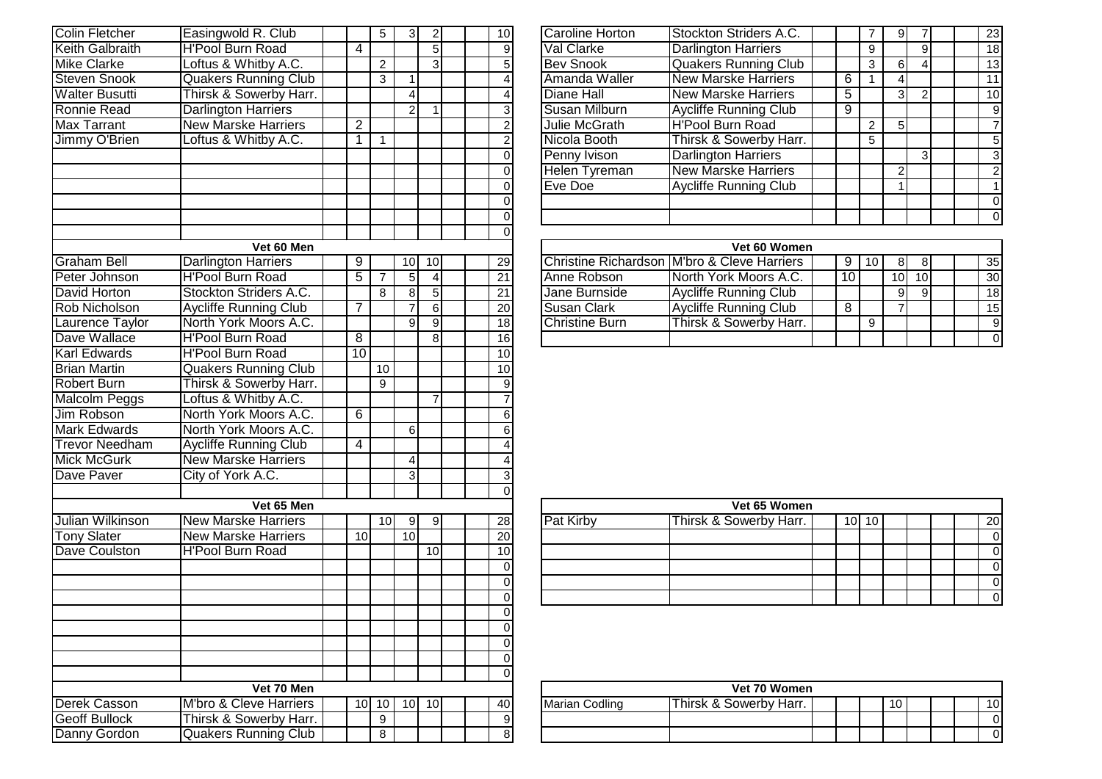| <b>Colin Fletcher</b>  | Easingwold R. Club           |                 | 5              | 3              | $\overline{2}$ |  | $\overline{10}$         |
|------------------------|------------------------------|-----------------|----------------|----------------|----------------|--|-------------------------|
| <b>Keith Galbraith</b> | <b>H'Pool Burn Road</b>      | 4               |                |                | $\overline{5}$ |  | $\frac{9}{5}$           |
| <b>Mike Clarke</b>     | Loftus & Whitby A.C.         |                 | $\overline{2}$ |                | $\overline{3}$ |  |                         |
| <b>Steven Snook</b>    | <b>Quakers Running Club</b>  |                 | 3              | $\mathbf 1$    |                |  | $\overline{4}$          |
| <b>Walter Busutti</b>  | Thirsk & Sowerby Harr.       |                 |                | $\overline{4}$ |                |  | $\overline{4}$          |
| <b>Ronnie Read</b>     | <b>Darlington Harriers</b>   |                 |                | $\overline{2}$ | $\overline{1}$ |  | $\overline{3}$          |
| <b>Max Tarrant</b>     | <b>New Marske Harriers</b>   | $\overline{2}$  |                |                |                |  | $\overline{2}$          |
| Jimmy O'Brien          | Loftus & Whitby A.C.         | $\overline{1}$  | $\mathbf{1}$   |                |                |  | $\overline{2}$          |
|                        |                              |                 |                |                |                |  | $\overline{0}$          |
|                        |                              |                 |                |                |                |  | $\overline{0}$          |
|                        |                              |                 |                |                |                |  | $\overline{0}$          |
|                        |                              |                 |                |                |                |  | $\overline{0}$          |
|                        |                              |                 |                |                |                |  | $\overline{0}$          |
|                        |                              |                 |                |                |                |  | $\overline{0}$          |
|                        | Vet 60 Men                   |                 |                |                |                |  |                         |
| Graham Bell            | Darlington Harriers          | 9               |                | 10             | $10$           |  | 29                      |
| Peter Johnson          | <b>H'Pool Burn Road</b>      | 5               | $\overline{7}$ | $\overline{5}$ | $\overline{4}$ |  | $\overline{21}$         |
| David Horton           | Stockton Striders A.C.       |                 | 8              | $\overline{8}$ | $\overline{5}$ |  | $\overline{21}$         |
| <b>Rob Nicholson</b>   | <b>Aycliffe Running Club</b> | 7               |                | 7              | $\overline{6}$ |  | $\overline{20}$         |
| Laurence Taylor        | North York Moors A.C.        |                 |                | $\overline{9}$ | $\overline{9}$ |  | $\overline{18}$         |
| Dave Wallace           | <b>H'Pool Burn Road</b>      | $\overline{8}$  |                |                | $\overline{8}$ |  | 16                      |
| <b>Karl Edwards</b>    | <b>H'Pool Burn Road</b>      | $\overline{10}$ |                |                |                |  | 10                      |
| <b>Brian Martin</b>    | <b>Quakers Running Club</b>  |                 | 10             |                |                |  | 10                      |
| Robert Burn            | Thirsk & Sowerby Harr.       |                 | 9              |                |                |  | $\overline{9}$          |
| <b>Malcolm Peggs</b>   | Loftus & Whitby A.C.         |                 |                |                | $\overline{7}$ |  | $\overline{7}$          |
| <b>Jim Robson</b>      | North York Moors A.C.        | $\overline{6}$  |                |                |                |  | $\overline{6}$          |
| <b>Mark Edwards</b>    | North York Moors A.C.        |                 |                | 6              |                |  | $\overline{6}$          |
| <b>Trevor Needham</b>  | <b>Aycliffe Running Club</b> | 4               |                |                |                |  | $\overline{\mathbf{r}}$ |
| <b>Mick McGurk</b>     | <b>New Marske Harriers</b>   |                 |                | 4              |                |  |                         |
| Dave Paver             | City of York A.C.            |                 |                | 3              |                |  | $\frac{4}{3}$           |
|                        |                              |                 |                |                |                |  | $\overline{0}$          |
|                        | Vet 65 Men                   |                 |                |                |                |  |                         |
| Julian Wilkinson       | <b>New Marske Harriers</b>   |                 | 10             | 9              | 9              |  | 28                      |
| <b>Tony Slater</b>     | <b>New Marske Harriers</b>   | 10              |                | 10             |                |  | 20 <sub>2</sub>         |
| Dave Coulston          | <b>H'Pool Burn Road</b>      |                 |                |                | 10             |  | 10                      |
|                        |                              |                 |                |                |                |  | $\overline{0}$          |
|                        |                              |                 |                |                |                |  | $\overline{0}$          |
|                        |                              |                 |                |                |                |  | $\overline{0}$          |
|                        |                              |                 |                |                |                |  | $\overline{0}$          |
|                        |                              |                 |                |                |                |  | $\pmb{0}$               |
|                        |                              |                 |                |                |                |  | $\overline{0}$          |
|                        |                              |                 |                |                |                |  | $\overline{0}$          |
|                        |                              |                 |                |                |                |  | $\overline{0}$          |
|                        | Vet 70 Men                   |                 |                |                |                |  |                         |
| Derek Casson           | M'bro & Cleve Harriers       | 10              | 10             | 10             | 10             |  | 40                      |
| <b>Geoff Bullock</b>   | Thirsk & Sowerby Harr.       |                 | 9              |                |                |  | $\boldsymbol{9}$        |
| Danny Gordon           | <b>Quakers Running Club</b>  |                 | 8              |                |                |  | $\overline{8}$          |
|                        |                              |                 |                |                |                |  |                         |

| $\mathbf{2}$ | 10 <sup>1</sup> | <b>Caroline Horton</b> | Stockton Striders A.C.       |   |   |   |                |  | 23 <sub>l</sub> |
|--------------|-----------------|------------------------|------------------------------|---|---|---|----------------|--|-----------------|
| 5            | 9               | Val Clarke             | <b>Darlington Harriers</b>   |   | 9 |   | 9              |  | 18              |
| 3            | 5               | <b>Bev Snook</b>       | <b>Quakers Running Club</b>  |   | 3 | 6 | 4              |  | 13              |
|              | 4               | Amanda Waller          | <b>New Marske Harriers</b>   | 6 |   | 4 |                |  | 11              |
|              | 4               | Diane Hall             | <b>New Marske Harriers</b>   | 5 |   | 3 | $\overline{2}$ |  | 10 <sup>1</sup> |
|              | 3               | Susan Milburn          | <b>Aycliffe Running Club</b> | 9 |   |   |                |  | 9               |
|              | 2               | Julie McGrath          | <b>H'Pool Burn Road</b>      |   |   | 5 |                |  |                 |
|              | $\overline{2}$  | Nicola Booth           | Thirsk & Sowerby Harr.       |   | 5 |   |                |  | 5               |
|              | 0               | Penny Ivison           | <b>Darlington Harriers</b>   |   |   |   | $\overline{3}$ |  | 3               |
|              | 0               | Helen Tyreman          | <b>New Marske Harriers</b>   |   |   | っ |                |  | 2               |
|              |                 | Eve Doe                | <b>Aycliffe Running Club</b> |   |   |   |                |  |                 |
|              |                 |                        |                              |   |   |   |                |  |                 |
|              |                 |                        |                              |   |   |   |                |  |                 |
|              |                 |                        |                              |   |   |   |                |  |                 |

| Vet 60 Men |   |     |     |  |                 |                | Vet 60 Women                                |    |   |                 |     |  |                 |
|------------|---|-----|-----|--|-----------------|----------------|---------------------------------------------|----|---|-----------------|-----|--|-----------------|
| larriers   |   | 101 | 10I |  | 29              |                | Christine Richardson M'bro & Cleve Harriers |    |   | 81              |     |  | 35 <sub>1</sub> |
| Road       |   | 51  |     |  | $21 \cdot$      | Anne Robson    | North York Moors A.C.                       | 10 |   | 10 <sub>1</sub> | 10I |  | 30 <sup>1</sup> |
| ders A.C.  |   | 81  | 51  |  | 21              | Jane Burnside  | <b>Aycliffe Running Club</b>                |    |   | 91              |     |  | 18 <sup>1</sup> |
| ning Club  |   |     |     |  | <b>20</b>       | Susan Clark    | Aycliffe Running Club                       |    |   |                 |     |  | 15              |
| Moors A.C. |   | 91  | 91  |  | 18 <sup>1</sup> | Christine Burn | Thirsk & Sowerby Harr.                      |    | 9 |                 |     |  | 9               |
| Road       | 8 |     | 81  |  | 16 <sub>l</sub> |                |                                             |    |   |                 |     |  | $\overline{0}$  |

|                 | the contract of the contract of the contract of the contract of the contract of the contract of the contract of |   |     |     |  |                 |                  |                        |    |                 |  |  |    |
|-----------------|-----------------------------------------------------------------------------------------------------------------|---|-----|-----|--|-----------------|------------------|------------------------|----|-----------------|--|--|----|
| Vet 65 Men      |                                                                                                                 |   |     |     |  |                 |                  | Vet 65 Women           |    |                 |  |  |    |
| <b>Harriers</b> |                                                                                                                 | 0 | 9I  | 91  |  | 28              | <b>Pat Kirby</b> | Thirsk & Sowerby Harr. | 10 | 10 <sub>1</sub> |  |  | 20 |
| Harriers        | 10 <sup>1</sup>                                                                                                 |   | 10I |     |  | 20 <sup>1</sup> |                  |                        |    |                 |  |  |    |
| Road            |                                                                                                                 |   |     | 10I |  | 10 <sub>l</sub> |                  |                        |    |                 |  |  |    |
|                 |                                                                                                                 |   |     |     |  |                 |                  |                        |    |                 |  |  |    |
|                 |                                                                                                                 |   |     |     |  |                 |                  |                        |    |                 |  |  |    |
|                 |                                                                                                                 |   |     |     |  |                 |                  |                        |    |                 |  |  |    |
|                 |                                                                                                                 |   |     |     |  |                 |                  |                        |    |                 |  |  |    |

|                      | Vet 70 Men                             |     |      |                 |      |  |     |                | Vet 70 Women           |  |    |  |     |
|----------------------|----------------------------------------|-----|------|-----------------|------|--|-----|----------------|------------------------|--|----|--|-----|
| Derek Casson         | M'bro & Cleve Harriers                 | 10I | ו טו | 10 <sup>1</sup> | 10 I |  | 40I | Marian Codling | Thirsk & Sowerbv Harr. |  | 10 |  | 10I |
| <b>Geoff Bullock</b> | <sup>∙</sup> Harr.<br>Thirsk & Sowerby |     | u    |                 |      |  | 91  |                |                        |  |    |  | ΟI  |
| Danny Gordon         | Club<br><b>IQuakers Running</b>        |     |      |                 |      |  | ດເ  |                |                        |  |    |  | 01  |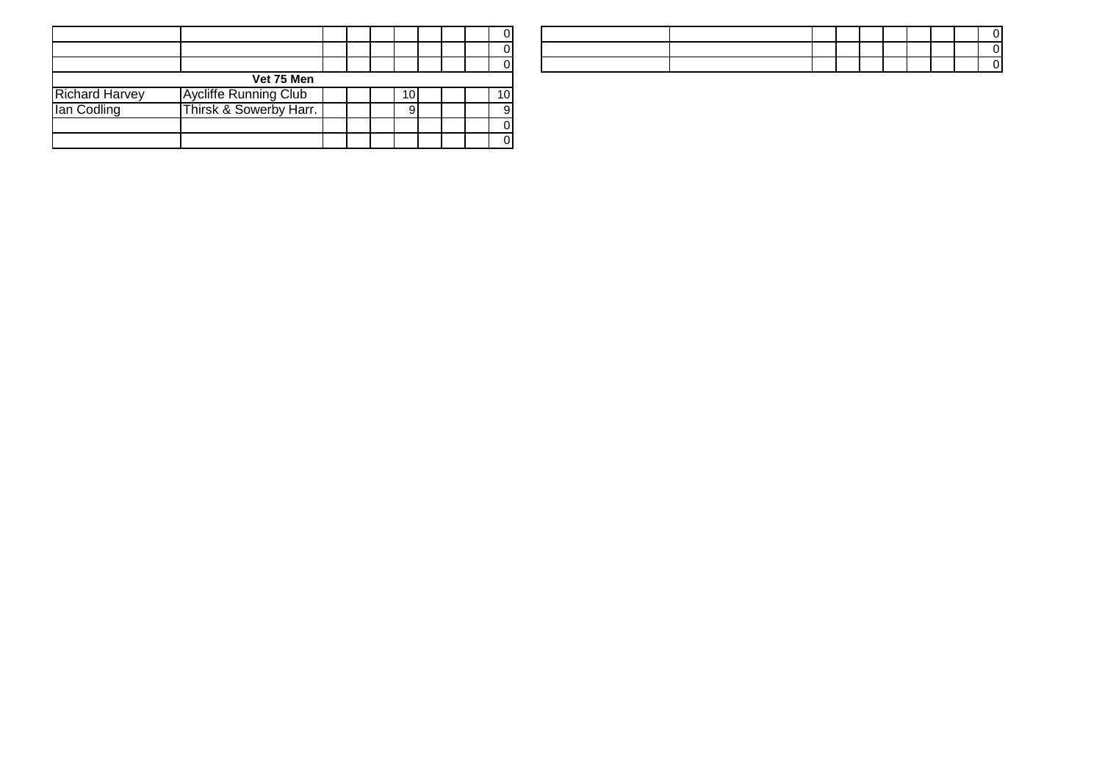|                       |                              |  |     |  | $\Omega$        |
|-----------------------|------------------------------|--|-----|--|-----------------|
|                       |                              |  |     |  | 0               |
|                       |                              |  |     |  | ΩI              |
|                       | Vet 75 Men                   |  |     |  |                 |
| <b>Richard Harvey</b> | <b>Aycliffe Running Club</b> |  | ١0. |  | 10 <sup>1</sup> |
| lan Codling           | Thirsk & Sowerby Harr.       |  |     |  | 9               |
|                       |                              |  |     |  | $\Omega$        |
|                       |                              |  |     |  | 0               |